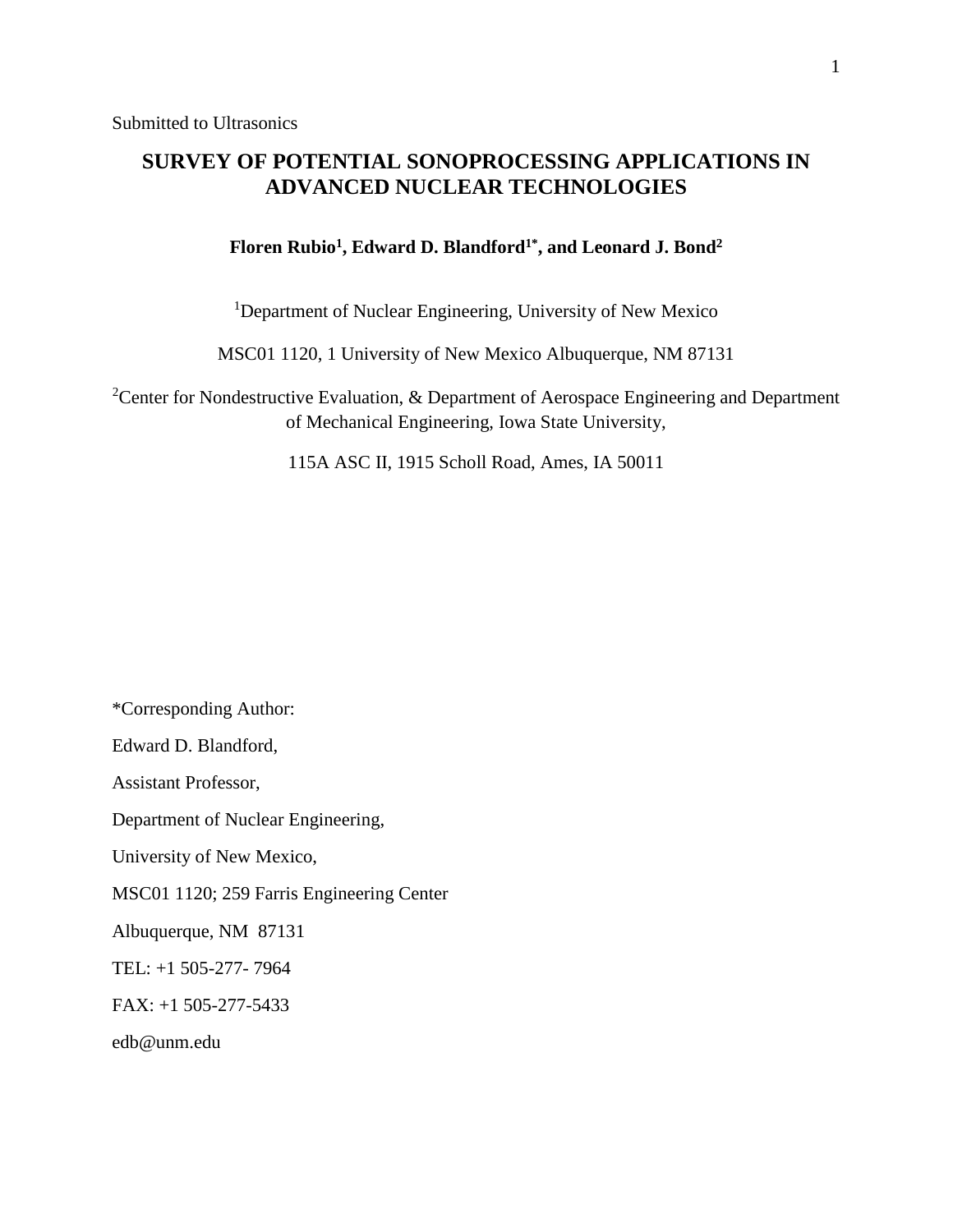# **SURVEY OF POTENTIAL SONOPROCESSING APPLICATIONS IN ADVANCED NUCLEAR TECHNOLOGIES**

# **Floren Rubio1, Edward D. Blandford1\*, and Leonard J. Bond2**

<sup>1</sup>Department of Nuclear Engineering, University of New Mexico

MSC01 1120, 1 University of New Mexico Albuquerque, NM 87131

<sup>2</sup> Center for Nondestructive Evaluation,  $\&$  Department of Aerospace Engineering and Department of Mechanical Engineering, Iowa State University,

115A ASC II, 1915 Scholl Road, Ames, IA 50011

\*Corresponding Author: Edward D. Blandford, Assistant Professor, Department of Nuclear Engineering, University of New Mexico, MSC01 1120; 259 Farris Engineering Center Albuquerque, NM 87131 TEL: +1 505-277- 7964 FAX: +1 505-277-5433 edb@unm.edu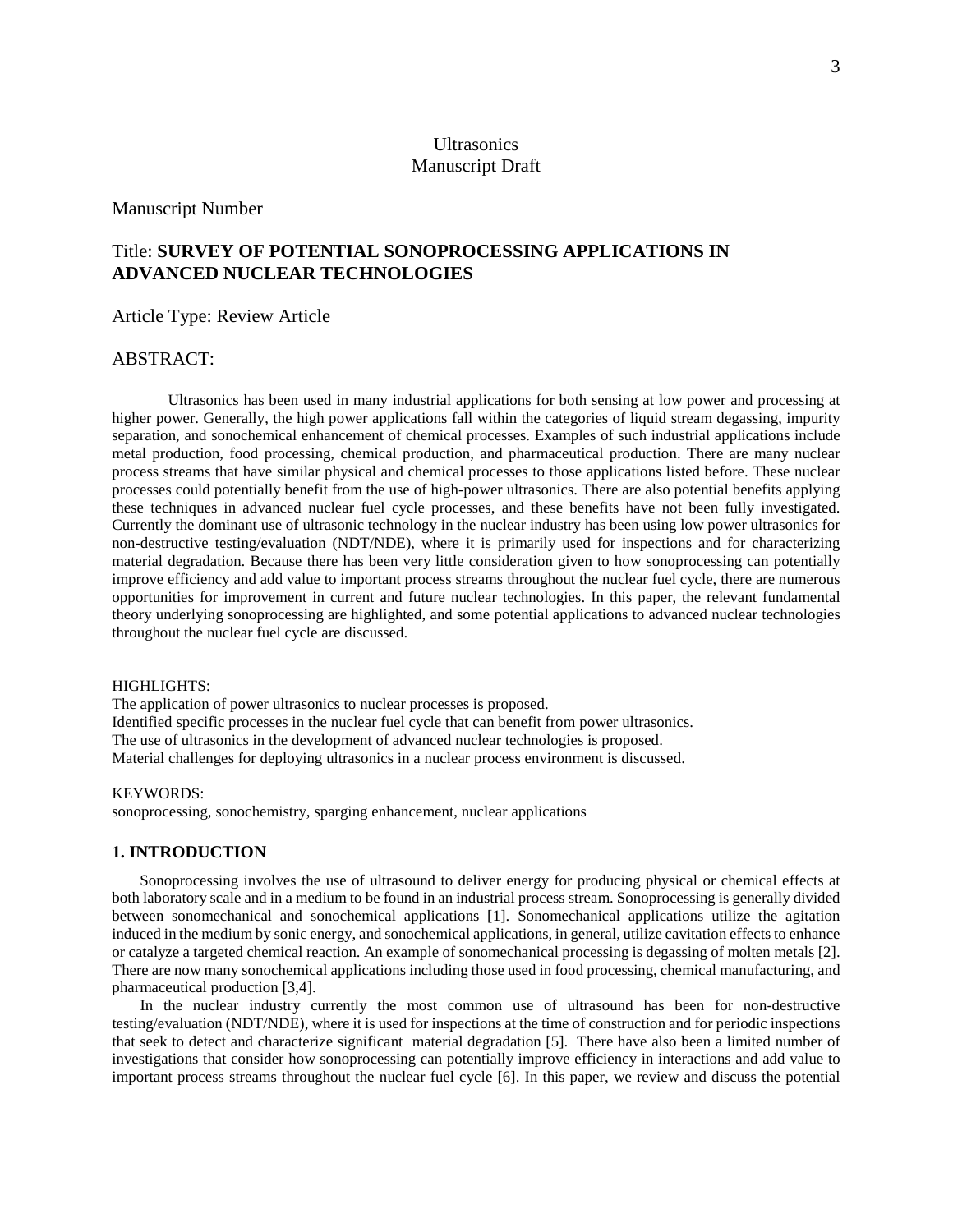## **Ultrasonics** Manuscript Draft

Manuscript Number

## Title: **SURVEY OF POTENTIAL SONOPROCESSING APPLICATIONS IN ADVANCED NUCLEAR TECHNOLOGIES**

Article Type: Review Article

## ABSTRACT:

 Ultrasonics has been used in many industrial applications for both sensing at low power and processing at higher power. Generally, the high power applications fall within the categories of liquid stream degassing, impurity separation, and sonochemical enhancement of chemical processes. Examples of such industrial applications include metal production, food processing, chemical production, and pharmaceutical production. There are many nuclear process streams that have similar physical and chemical processes to those applications listed before. These nuclear processes could potentially benefit from the use of high-power ultrasonics. There are also potential benefits applying these techniques in advanced nuclear fuel cycle processes, and these benefits have not been fully investigated. Currently the dominant use of ultrasonic technology in the nuclear industry has been using low power ultrasonics for non-destructive testing/evaluation (NDT/NDE), where it is primarily used for inspections and for characterizing material degradation. Because there has been very little consideration given to how sonoprocessing can potentially improve efficiency and add value to important process streams throughout the nuclear fuel cycle, there are numerous opportunities for improvement in current and future nuclear technologies. In this paper, the relevant fundamental theory underlying sonoprocessing are highlighted, and some potential applications to advanced nuclear technologies throughout the nuclear fuel cycle are discussed.

#### HIGHLIGHTS:

The application of power ultrasonics to nuclear processes is proposed. Identified specific processes in the nuclear fuel cycle that can benefit from power ultrasonics. The use of ultrasonics in the development of advanced nuclear technologies is proposed. Material challenges for deploying ultrasonics in a nuclear process environment is discussed.

#### KEYWORDS:

sonoprocessing, sonochemistry, sparging enhancement, nuclear applications

## **1. INTRODUCTION**

Sonoprocessing involves the use of ultrasound to deliver energy for producing physical or chemical effects at both laboratory scale and in a medium to be found in an industrial process stream. Sonoprocessing is generally divided between sonomechanical and sonochemical applications [1]. Sonomechanical applications utilize the agitation induced in the medium by sonic energy, and sonochemical applications, in general, utilize cavitation effects to enhance or catalyze a targeted chemical reaction. An example of sonomechanical processing is degassing of molten metals [2]. There are now many sonochemical applications including those used in food processing, chemical manufacturing, and pharmaceutical production [3,4].

In the nuclear industry currently the most common use of ultrasound has been for non-destructive testing/evaluation (NDT/NDE), where it is used for inspections at the time of construction and for periodic inspections that seek to detect and characterize significant material degradation [5]. There have also been a limited number of investigations that consider how sonoprocessing can potentially improve efficiency in interactions and add value to important process streams throughout the nuclear fuel cycle [6]. In this paper, we review and discuss the potential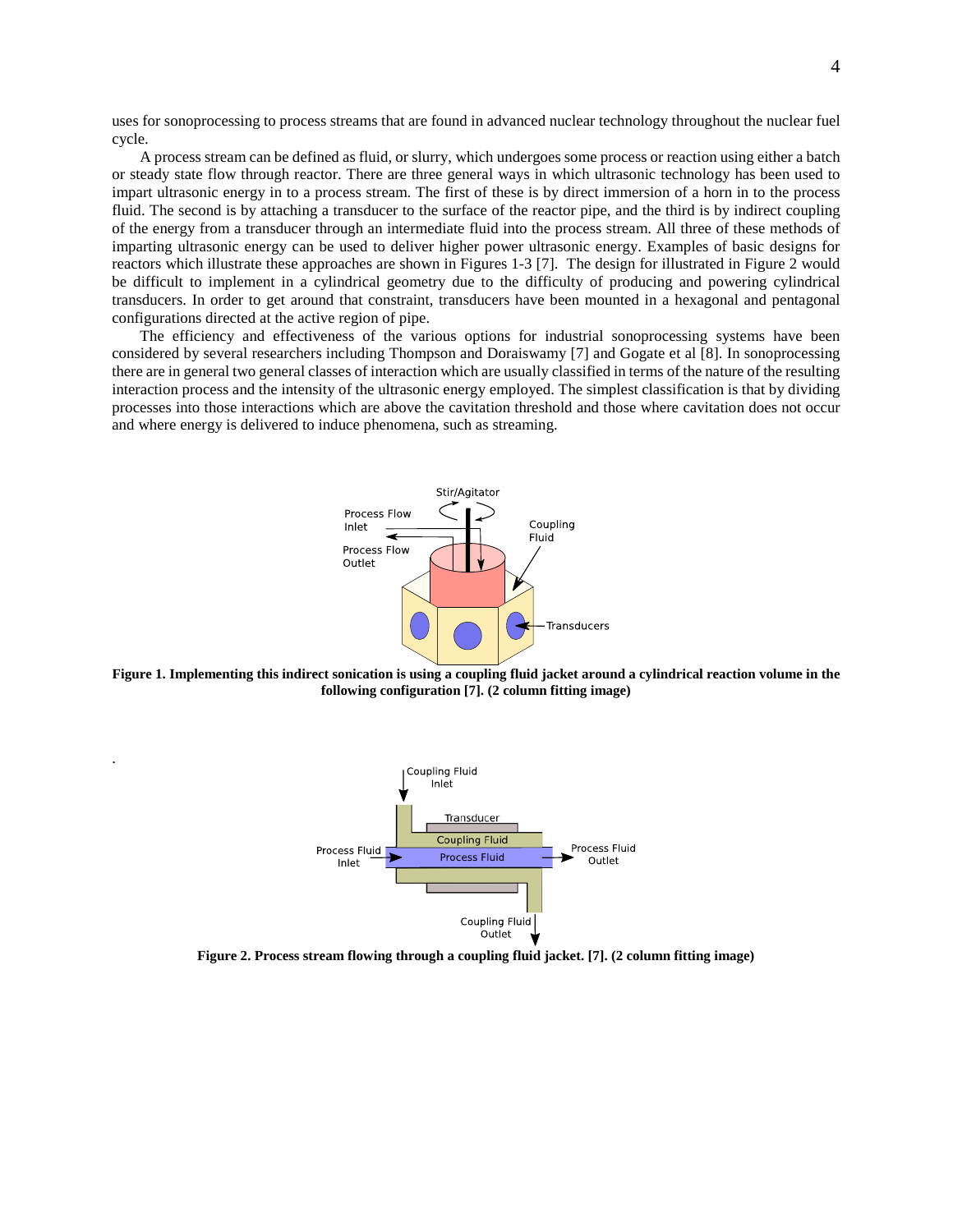uses for sonoprocessing to process streams that are found in advanced nuclear technology throughout the nuclear fuel cycle.

A process stream can be defined as fluid, or slurry, which undergoes some process or reaction using either a batch or steady state flow through reactor. There are three general ways in which ultrasonic technology has been used to impart ultrasonic energy in to a process stream. The first of these is by direct immersion of a horn in to the process fluid. The second is by attaching a transducer to the surface of the reactor pipe, and the third is by indirect coupling of the energy from a transducer through an intermediate fluid into the process stream. All three of these methods of imparting ultrasonic energy can be used to deliver higher power ultrasonic energy. Examples of basic designs for reactors which illustrate these approaches are shown in Figures 1-3 [7]. The design for illustrated in Figure 2 would be difficult to implement in a cylindrical geometry due to the difficulty of producing and powering cylindrical transducers. In order to get around that constraint, transducers have been mounted in a hexagonal and pentagonal configurations directed at the active region of pipe.

The efficiency and effectiveness of the various options for industrial sonoprocessing systems have been considered by several researchers including Thompson and Doraiswamy [7] and Gogate et al [8]. In sonoprocessing there are in general two general classes of interaction which are usually classified in terms of the nature of the resulting interaction process and the intensity of the ultrasonic energy employed. The simplest classification is that by dividing processes into those interactions which are above the cavitation threshold and those where cavitation does not occur and where energy is delivered to induce phenomena, such as streaming.



**Figure 1. Implementing this indirect sonication is using a coupling fluid jacket around a cylindrical reaction volume in the following configuration [7]. (2 column fitting image)**

.



**Figure 2. Process stream flowing through a coupling fluid jacket. [7]. (2 column fitting image)**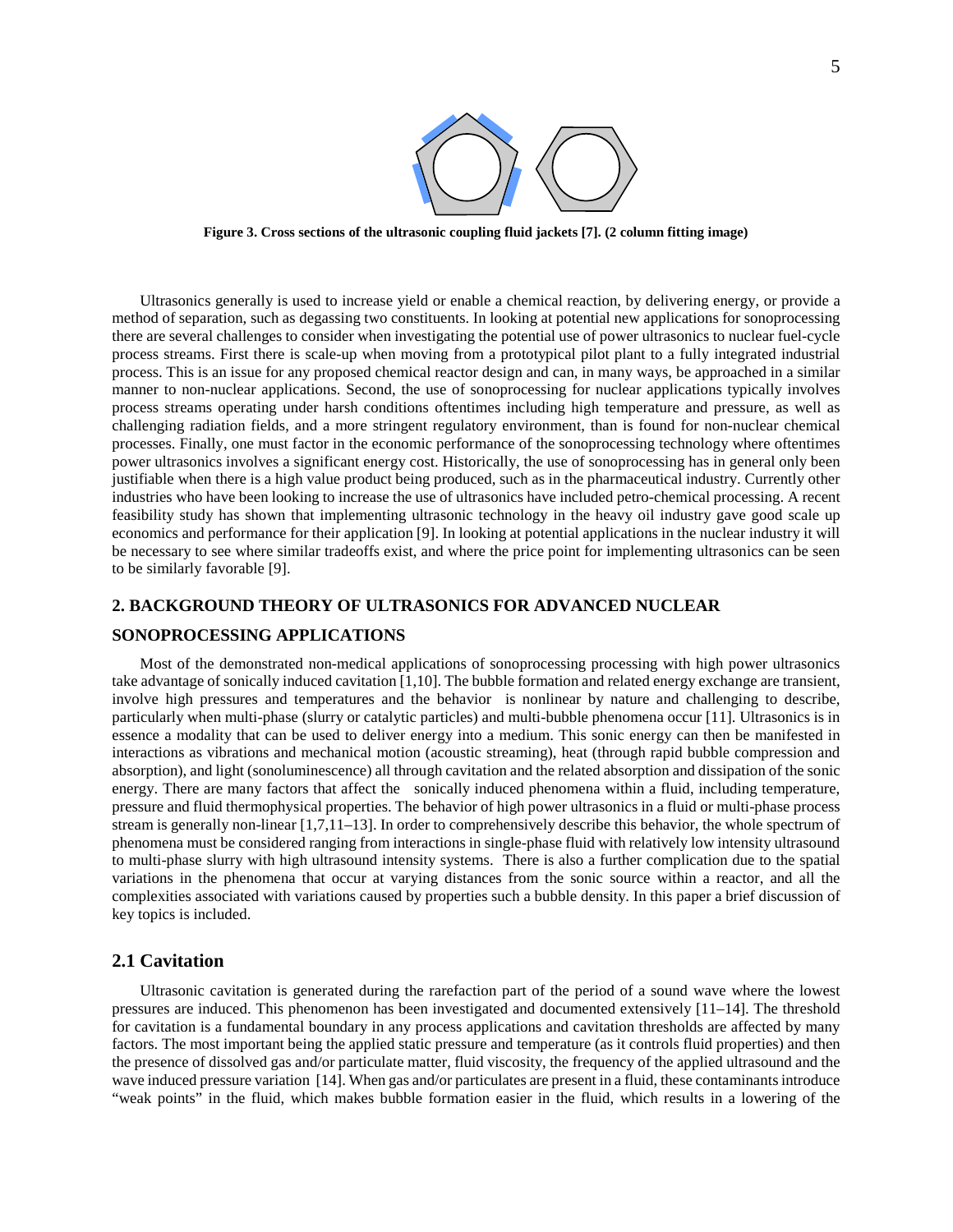

**Figure 3. Cross sections of the ultrasonic coupling fluid jackets [7]. (2 column fitting image)**

Ultrasonics generally is used to increase yield or enable a chemical reaction, by delivering energy, or provide a method of separation, such as degassing two constituents. In looking at potential new applications for sonoprocessing there are several challenges to consider when investigating the potential use of power ultrasonics to nuclear fuel-cycle process streams. First there is scale-up when moving from a prototypical pilot plant to a fully integrated industrial process. This is an issue for any proposed chemical reactor design and can, in many ways, be approached in a similar manner to non-nuclear applications. Second, the use of sonoprocessing for nuclear applications typically involves process streams operating under harsh conditions oftentimes including high temperature and pressure, as well as challenging radiation fields, and a more stringent regulatory environment, than is found for non-nuclear chemical processes. Finally, one must factor in the economic performance of the sonoprocessing technology where oftentimes power ultrasonics involves a significant energy cost. Historically, the use of sonoprocessing has in general only been justifiable when there is a high value product being produced, such as in the pharmaceutical industry. Currently other industries who have been looking to increase the use of ultrasonics have included petro-chemical processing. A recent feasibility study has shown that implementing ultrasonic technology in the heavy oil industry gave good scale up economics and performance for their application [9]. In looking at potential applications in the nuclear industry it will be necessary to see where similar tradeoffs exist, and where the price point for implementing ultrasonics can be seen to be similarly favorable [9].

## **2. BACKGROUND THEORY OF ULTRASONICS FOR ADVANCED NUCLEAR**

## **SONOPROCESSING APPLICATIONS**

Most of the demonstrated non-medical applications of sonoprocessing processing with high power ultrasonics take advantage of sonically induced cavitation [1,10]. The bubble formation and related energy exchange are transient, involve high pressures and temperatures and the behavior is nonlinear by nature and challenging to describe, particularly when multi-phase (slurry or catalytic particles) and multi-bubble phenomena occur [11]. Ultrasonics is in essence a modality that can be used to deliver energy into a medium. This sonic energy can then be manifested in interactions as vibrations and mechanical motion (acoustic streaming), heat (through rapid bubble compression and absorption), and light (sonoluminescence) all through cavitation and the related absorption and dissipation of the sonic energy. There are many factors that affect the sonically induced phenomena within a fluid, including temperature, pressure and fluid thermophysical properties. The behavior of high power ultrasonics in a fluid or multi-phase process stream is generally non-linear [1,7,11–13]. In order to comprehensively describe this behavior, the whole spectrum of phenomena must be considered ranging from interactions in single-phase fluid with relatively low intensity ultrasound to multi-phase slurry with high ultrasound intensity systems. There is also a further complication due to the spatial variations in the phenomena that occur at varying distances from the sonic source within a reactor, and all the complexities associated with variations caused by properties such a bubble density. In this paper a brief discussion of key topics is included.

## **2.1 Cavitation**

Ultrasonic cavitation is generated during the rarefaction part of the period of a sound wave where the lowest pressures are induced. This phenomenon has been investigated and documented extensively [11–14]. The threshold for cavitation is a fundamental boundary in any process applications and cavitation thresholds are affected by many factors. The most important being the applied static pressure and temperature (as it controls fluid properties) and then the presence of dissolved gas and/or particulate matter, fluid viscosity, the frequency of the applied ultrasound and the wave induced pressure variation [14]. When gas and/or particulates are present in a fluid, these contaminants introduce "weak points" in the fluid, which makes bubble formation easier in the fluid, which results in a lowering of the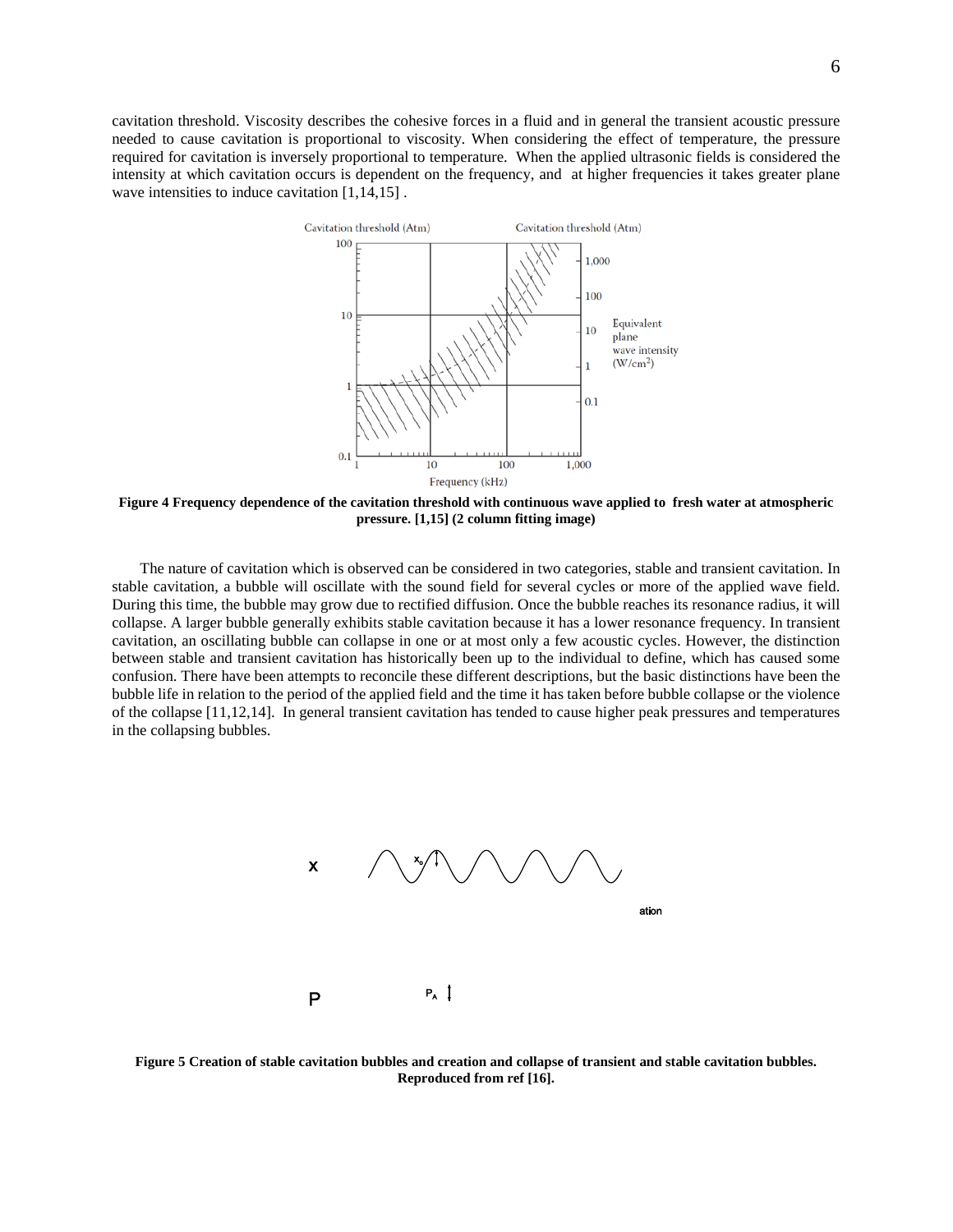cavitation threshold. Viscosity describes the cohesive forces in a fluid and in general the transient acoustic pressure needed to cause cavitation is proportional to viscosity. When considering the effect of temperature, the pressure required for cavitation is inversely proportional to temperature. When the applied ultrasonic fields is considered the intensity at which cavitation occurs is dependent on the frequency, and at higher frequencies it takes greater plane wave intensities to induce cavitation [1,14,15].



**Figure 4 Frequency dependence of the cavitation threshold with continuous wave applied to fresh water at atmospheric pressure. [1,15] (2 column fitting image)**

The nature of cavitation which is observed can be considered in two categories, stable and transient cavitation. In stable cavitation, a bubble will oscillate with the sound field for several cycles or more of the applied wave field. During this time, the bubble may grow due to rectified diffusion. Once the bubble reaches its resonance radius, it will collapse. A larger bubble generally exhibits stable cavitation because it has a lower resonance frequency. In transient cavitation, an oscillating bubble can collapse in one or at most only a few acoustic cycles. However, the distinction between stable and transient cavitation has historically been up to the individual to define, which has caused some confusion. There have been attempts to reconcile these different descriptions, but the basic distinctions have been the bubble life in relation to the period of the applied field and the time it has taken before bubble collapse or the violence of the collapse [11,12,14]. In general transient cavitation has tended to cause higher peak pressures and temperatures in the collapsing bubbles.



**Figure 5 Creation of stable cavitation bubbles and creation and collapse of transient and stable cavitation bubbles. Reproduced from ref [16].**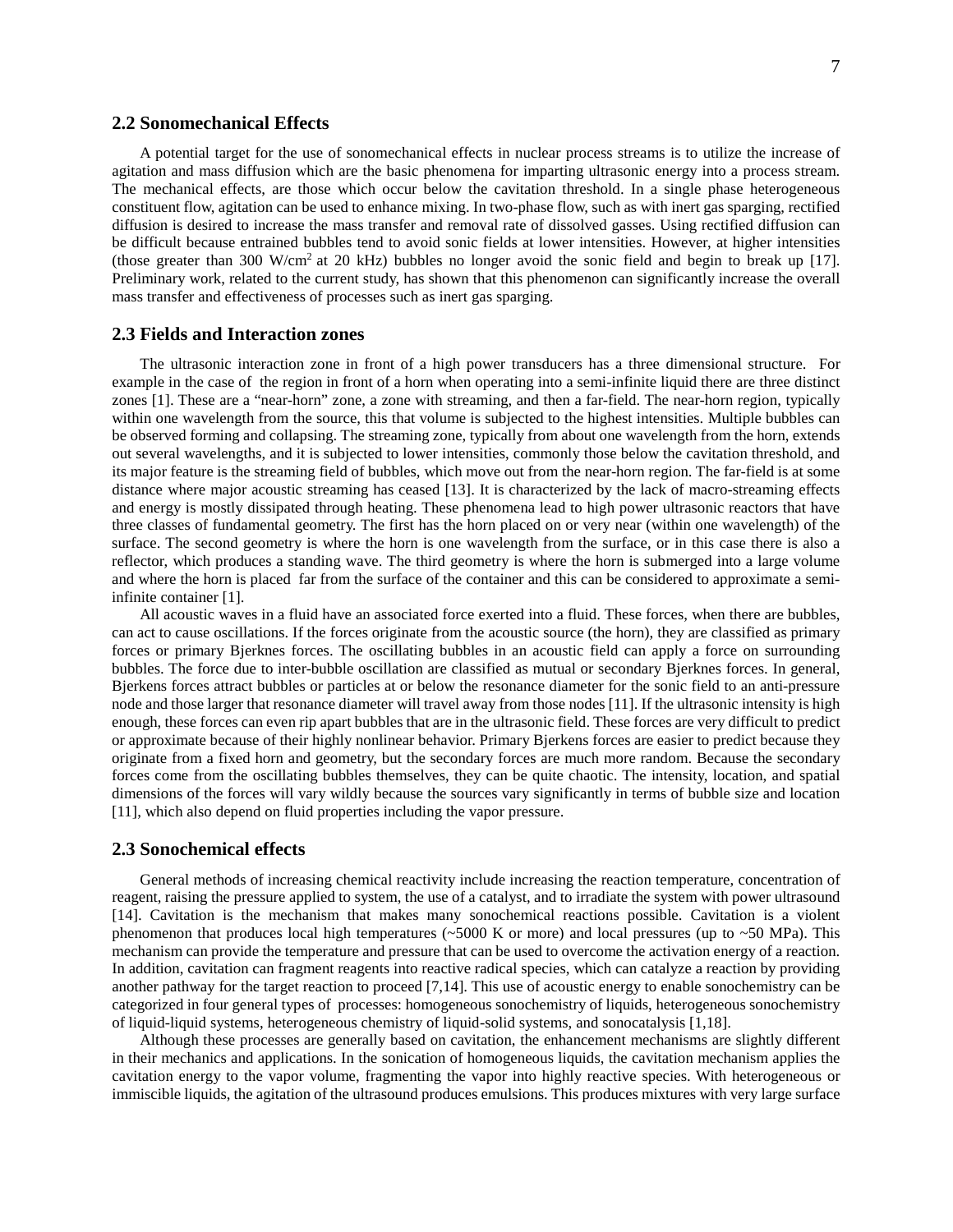## **2.2 Sonomechanical Effects**

A potential target for the use of sonomechanical effects in nuclear process streams is to utilize the increase of agitation and mass diffusion which are the basic phenomena for imparting ultrasonic energy into a process stream. The mechanical effects, are those which occur below the cavitation threshold. In a single phase heterogeneous constituent flow, agitation can be used to enhance mixing. In two-phase flow, such as with inert gas sparging, rectified diffusion is desired to increase the mass transfer and removal rate of dissolved gasses. Using rectified diffusion can be difficult because entrained bubbles tend to avoid sonic fields at lower intensities. However, at higher intensities (those greater than 300 W/cm<sup>2</sup> at 20 kHz) bubbles no longer avoid the sonic field and begin to break up [17]. Preliminary work, related to the current study, has shown that this phenomenon can significantly increase the overall mass transfer and effectiveness of processes such as inert gas sparging.

## **2.3 Fields and Interaction zones**

The ultrasonic interaction zone in front of a high power transducers has a three dimensional structure. For example in the case of the region in front of a horn when operating into a semi-infinite liquid there are three distinct zones [1]. These are a "near-horn" zone, a zone with streaming, and then a far-field. The near-horn region, typically within one wavelength from the source, this that volume is subjected to the highest intensities. Multiple bubbles can be observed forming and collapsing. The streaming zone, typically from about one wavelength from the horn, extends out several wavelengths, and it is subjected to lower intensities, commonly those below the cavitation threshold, and its major feature is the streaming field of bubbles, which move out from the near-horn region. The far-field is at some distance where major acoustic streaming has ceased [13]. It is characterized by the lack of macro-streaming effects and energy is mostly dissipated through heating. These phenomena lead to high power ultrasonic reactors that have three classes of fundamental geometry. The first has the horn placed on or very near (within one wavelength) of the surface. The second geometry is where the horn is one wavelength from the surface, or in this case there is also a reflector, which produces a standing wave. The third geometry is where the horn is submerged into a large volume and where the horn is placed far from the surface of the container and this can be considered to approximate a semiinfinite container [1].

All acoustic waves in a fluid have an associated force exerted into a fluid. These forces, when there are bubbles, can act to cause oscillations. If the forces originate from the acoustic source (the horn), they are classified as primary forces or primary Bjerknes forces. The oscillating bubbles in an acoustic field can apply a force on surrounding bubbles. The force due to inter-bubble oscillation are classified as mutual or secondary Bjerknes forces. In general, Bjerkens forces attract bubbles or particles at or below the resonance diameter for the sonic field to an anti-pressure node and those larger that resonance diameter will travel away from those nodes [11]. If the ultrasonic intensity is high enough, these forces can even rip apart bubbles that are in the ultrasonic field. These forces are very difficult to predict or approximate because of their highly nonlinear behavior. Primary Bjerkens forces are easier to predict because they originate from a fixed horn and geometry, but the secondary forces are much more random. Because the secondary forces come from the oscillating bubbles themselves, they can be quite chaotic. The intensity, location, and spatial dimensions of the forces will vary wildly because the sources vary significantly in terms of bubble size and location [11], which also depend on fluid properties including the vapor pressure.

## **2.3 Sonochemical effects**

General methods of increasing chemical reactivity include increasing the reaction temperature, concentration of reagent, raising the pressure applied to system, the use of a catalyst, and to irradiate the system with power ultrasound [14]. Cavitation is the mechanism that makes many sonochemical reactions possible. Cavitation is a violent phenomenon that produces local high temperatures ( $\sim$ 5000 K or more) and local pressures (up to  $\sim$ 50 MPa). This mechanism can provide the temperature and pressure that can be used to overcome the activation energy of a reaction. In addition, cavitation can fragment reagents into reactive radical species, which can catalyze a reaction by providing another pathway for the target reaction to proceed [7,14]. This use of acoustic energy to enable sonochemistry can be categorized in four general types of processes: homogeneous sonochemistry of liquids, heterogeneous sonochemistry of liquid-liquid systems, heterogeneous chemistry of liquid-solid systems, and sonocatalysis [1,18].

Although these processes are generally based on cavitation, the enhancement mechanisms are slightly different in their mechanics and applications. In the sonication of homogeneous liquids, the cavitation mechanism applies the cavitation energy to the vapor volume, fragmenting the vapor into highly reactive species. With heterogeneous or immiscible liquids, the agitation of the ultrasound produces emulsions. This produces mixtures with very large surface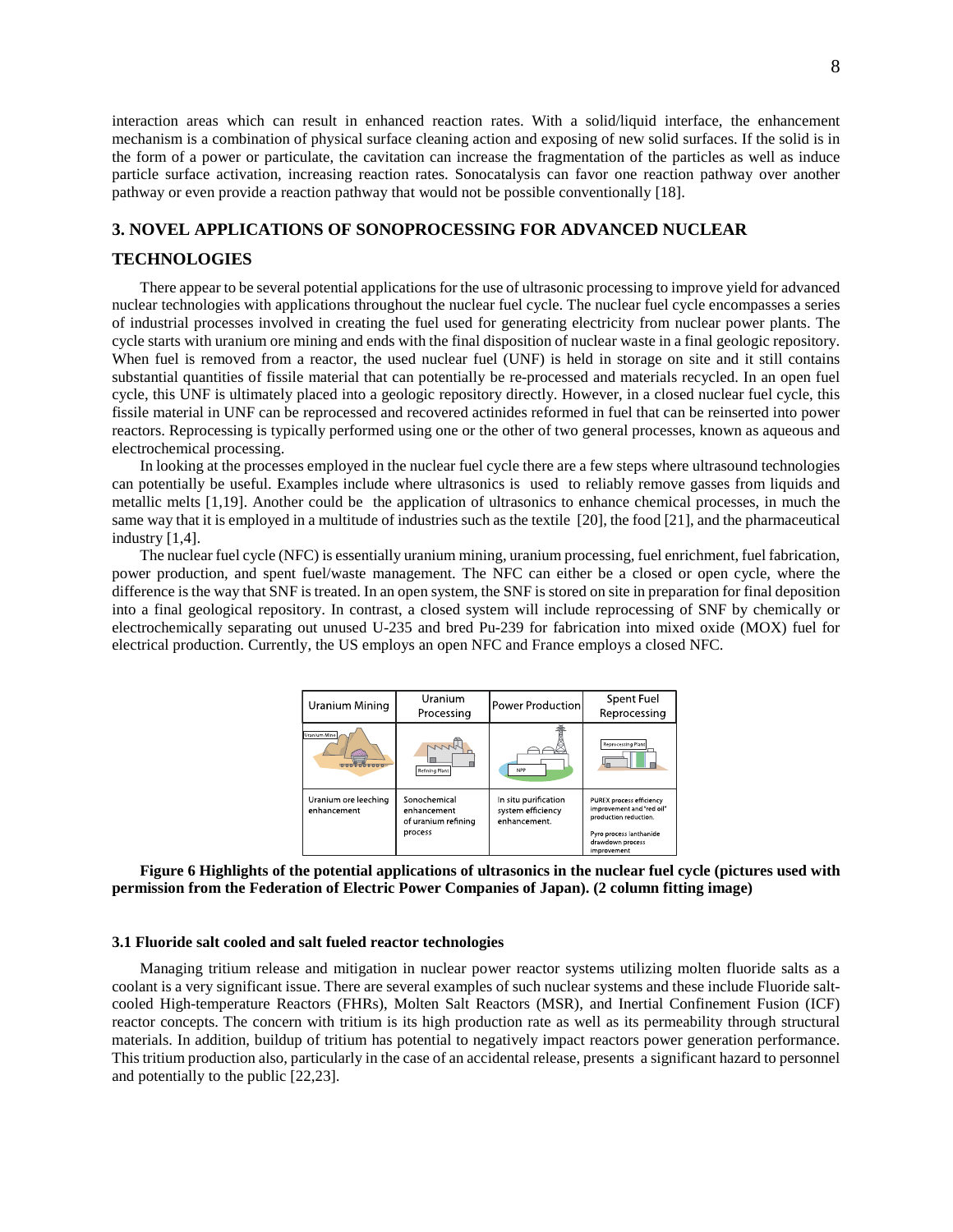interaction areas which can result in enhanced reaction rates. With a solid/liquid interface, the enhancement mechanism is a combination of physical surface cleaning action and exposing of new solid surfaces. If the solid is in the form of a power or particulate, the cavitation can increase the fragmentation of the particles as well as induce particle surface activation, increasing reaction rates. Sonocatalysis can favor one reaction pathway over another pathway or even provide a reaction pathway that would not be possible conventionally [18].

## **3. NOVEL APPLICATIONS OF SONOPROCESSING FOR ADVANCED NUCLEAR**

## **TECHNOLOGIES**

There appear to be several potential applications for the use of ultrasonic processing to improve yield for advanced nuclear technologies with applications throughout the nuclear fuel cycle. The nuclear fuel cycle encompasses a series of industrial processes involved in creating the fuel used for generating electricity from nuclear power plants. The cycle starts with uranium ore mining and ends with the final disposition of nuclear waste in a final geologic repository. When fuel is removed from a reactor, the used nuclear fuel (UNF) is held in storage on site and it still contains substantial quantities of fissile material that can potentially be re-processed and materials recycled. In an open fuel cycle, this UNF is ultimately placed into a geologic repository directly. However, in a closed nuclear fuel cycle, this fissile material in UNF can be reprocessed and recovered actinides reformed in fuel that can be reinserted into power reactors. Reprocessing is typically performed using one or the other of two general processes, known as aqueous and electrochemical processing.

In looking at the processes employed in the nuclear fuel cycle there are a few steps where ultrasound technologies can potentially be useful. Examples include where ultrasonics is used to reliably remove gasses from liquids and metallic melts [1,19]. Another could be the application of ultrasonics to enhance chemical processes, in much the same way that it is employed in a multitude of industries such as the textile [20], the food [21], and the pharmaceutical industry [1,4].

The nuclear fuel cycle (NFC) is essentially uranium mining, uranium processing, fuel enrichment, fuel fabrication, power production, and spent fuel/waste management. The NFC can either be a closed or open cycle, where the difference is the way that SNF is treated. In an open system, the SNF is stored on site in preparation for final deposition into a final geological repository. In contrast, a closed system will include reprocessing of SNF by chemically or electrochemically separating out unused U-235 and bred Pu-239 for fabrication into mixed oxide (MOX) fuel for electrical production. Currently, the US employs an open NFC and France employs a closed NFC.

| Uranium Mining                      | Uranium<br>Processing                                         | <b>Power Production</b>                                   | <b>Spent Fuel</b><br>Reprocessing                                                                                                            |
|-------------------------------------|---------------------------------------------------------------|-----------------------------------------------------------|----------------------------------------------------------------------------------------------------------------------------------------------|
| Uranium Mine<br><b>-BBBBBBBBBB</b>  | Refining Plant                                                | NPP                                                       | Reprocessing Plant                                                                                                                           |
| Uranium ore leeching<br>enhancement | Sonochemical<br>enhancement<br>of uranium refining<br>process | In situ purification<br>system efficiency<br>enhancement. | PUREX process efficiency<br>improvement and "red oil"<br>production reduction.<br>Pyro process lanthanide<br>drawdown process<br>improvement |

## **Figure 6 Highlights of the potential applications of ultrasonics in the nuclear fuel cycle (pictures used with permission from the Federation of Electric Power Companies of Japan). (2 column fitting image)**

#### **3.1 Fluoride salt cooled and salt fueled reactor technologies**

Managing tritium release and mitigation in nuclear power reactor systems utilizing molten fluoride salts as a coolant is a very significant issue. There are several examples of such nuclear systems and these include Fluoride saltcooled High-temperature Reactors (FHRs), Molten Salt Reactors (MSR), and Inertial Confinement Fusion (ICF) reactor concepts. The concern with tritium is its high production rate as well as its permeability through structural materials. In addition, buildup of tritium has potential to negatively impact reactors power generation performance. This tritium production also, particularly in the case of an accidental release, presents a significant hazard to personnel and potentially to the public [22,23].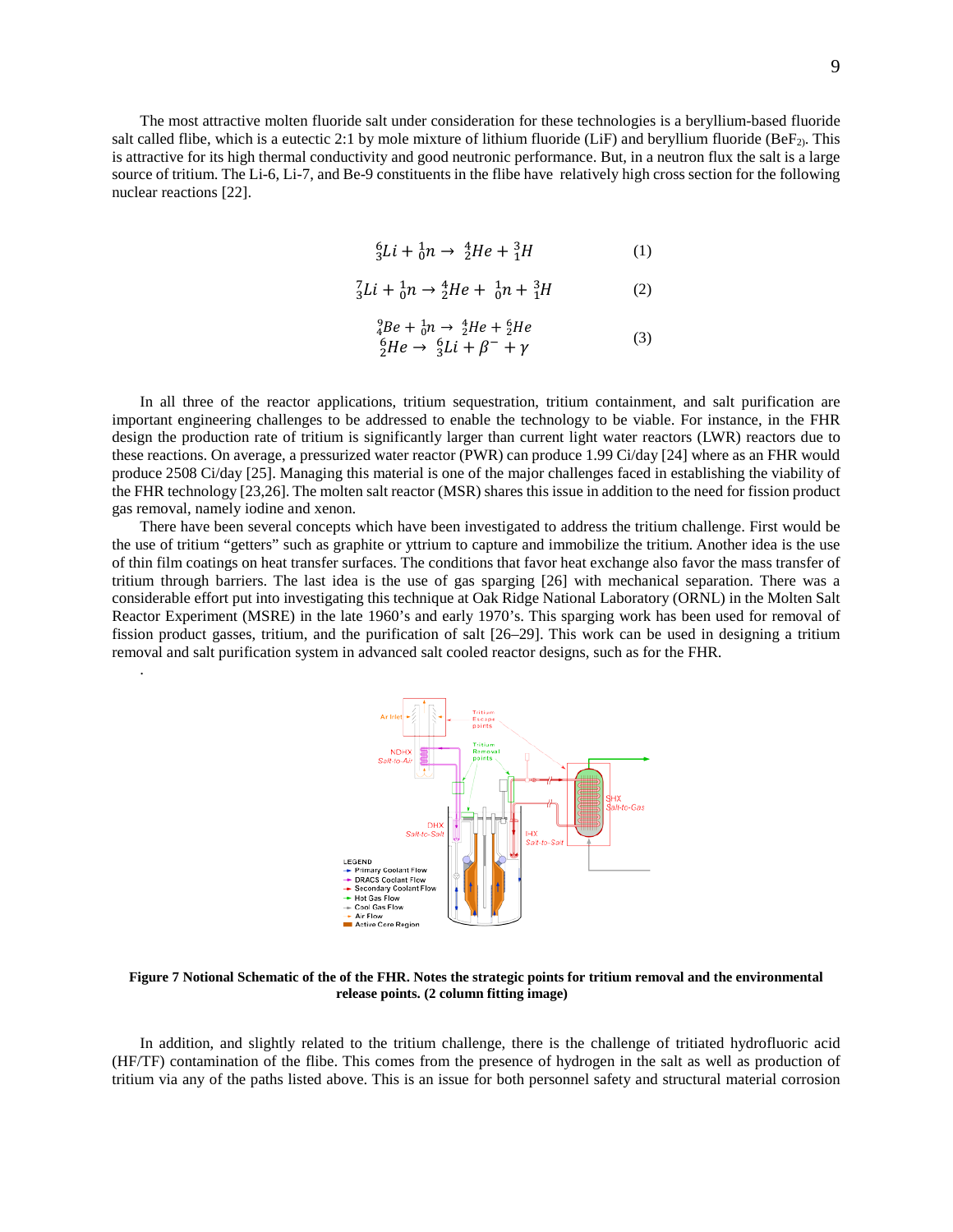The most attractive molten fluoride salt under consideration for these technologies is a beryllium-based fluoride salt called flibe, which is a eutectic 2:1 by mole mixture of lithium fluoride (LiF) and beryllium fluoride (BeF<sub>2</sub>). This is attractive for its high thermal conductivity and good neutronic performance. But, in a neutron flux the salt is a large source of tritium. The Li-6, Li-7, and Be-9 constituents in the flibe have relatively high cross section for the following nuclear reactions [22].

$$
{}_{3}^{6}Li + {}_{0}^{1}n \rightarrow {}_{2}^{4}He + {}_{1}^{3}H
$$
 (1)

$$
{}_{3}^{7}Li + {}_{0}^{1}n \rightarrow {}_{2}^{4}He + {}_{0}^{1}n + {}_{1}^{3}H
$$
 (2)

$$
{}_{2}^{9}Be + {}_{0}^{1}n \rightarrow {}_{2}^{4}He + {}_{2}^{6}He
$$
  
\n
$$
{}_{2}^{6}He \rightarrow {}_{3}^{6}Li + \beta^{-} + \gamma
$$
\n(3)

In all three of the reactor applications, tritium sequestration, tritium containment, and salt purification are important engineering challenges to be addressed to enable the technology to be viable. For instance, in the FHR design the production rate of tritium is significantly larger than current light water reactors (LWR) reactors due to these reactions. On average, a pressurized water reactor (PWR) can produce 1.99 Ci/day [24] where as an FHR would produce 2508 Ci/day [25]. Managing this material is one of the major challenges faced in establishing the viability of the FHR technology [23,26]. The molten salt reactor (MSR) shares this issue in addition to the need for fission product gas removal, namely iodine and xenon.

There have been several concepts which have been investigated to address the tritium challenge. First would be the use of tritium "getters" such as graphite or yttrium to capture and immobilize the tritium. Another idea is the use of thin film coatings on heat transfer surfaces. The conditions that favor heat exchange also favor the mass transfer of tritium through barriers. The last idea is the use of gas sparging [26] with mechanical separation. There was a considerable effort put into investigating this technique at Oak Ridge National Laboratory (ORNL) in the Molten Salt Reactor Experiment (MSRE) in the late 1960's and early 1970's. This sparging work has been used for removal of fission product gasses, tritium, and the purification of salt [26–29]. This work can be used in designing a tritium removal and salt purification system in advanced salt cooled reactor designs, such as for the FHR.

.



**Figure 7 Notional Schematic of the of the FHR. Notes the strategic points for tritium removal and the environmental release points. (2 column fitting image)**

In addition, and slightly related to the tritium challenge, there is the challenge of tritiated hydrofluoric acid (HF/TF) contamination of the flibe. This comes from the presence of hydrogen in the salt as well as production of tritium via any of the paths listed above. This is an issue for both personnel safety and structural material corrosion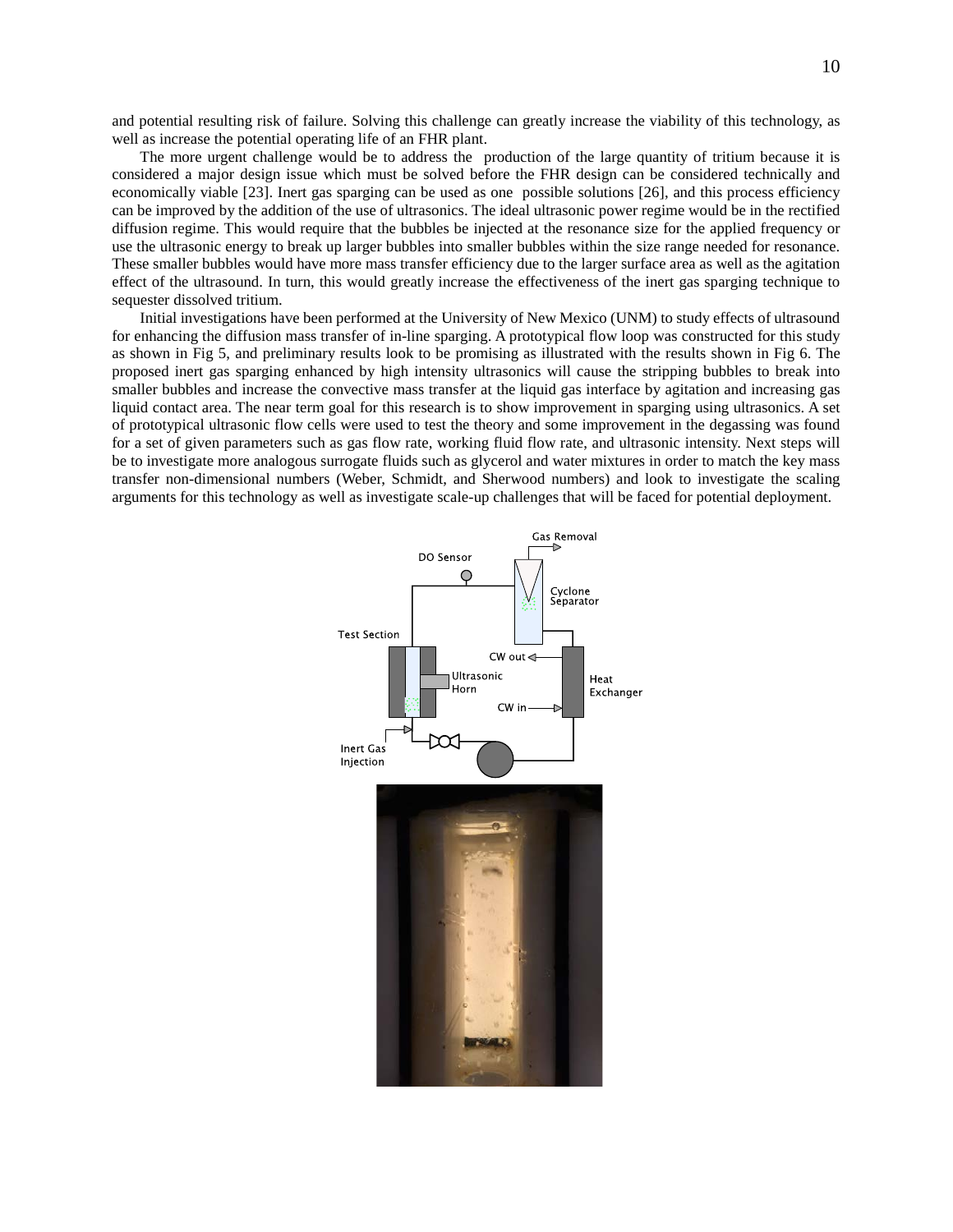and potential resulting risk of failure. Solving this challenge can greatly increase the viability of this technology, as well as increase the potential operating life of an FHR plant.

The more urgent challenge would be to address the production of the large quantity of tritium because it is considered a major design issue which must be solved before the FHR design can be considered technically and economically viable [23]. Inert gas sparging can be used as one possible solutions [26], and this process efficiency can be improved by the addition of the use of ultrasonics. The ideal ultrasonic power regime would be in the rectified diffusion regime. This would require that the bubbles be injected at the resonance size for the applied frequency or use the ultrasonic energy to break up larger bubbles into smaller bubbles within the size range needed for resonance. These smaller bubbles would have more mass transfer efficiency due to the larger surface area as well as the agitation effect of the ultrasound. In turn, this would greatly increase the effectiveness of the inert gas sparging technique to sequester dissolved tritium.

Initial investigations have been performed at the University of New Mexico (UNM) to study effects of ultrasound for enhancing the diffusion mass transfer of in-line sparging. A prototypical flow loop was constructed for this study as shown in Fig 5, and preliminary results look to be promising as illustrated with the results shown in Fig 6. The proposed inert gas sparging enhanced by high intensity ultrasonics will cause the stripping bubbles to break into smaller bubbles and increase the convective mass transfer at the liquid gas interface by agitation and increasing gas liquid contact area. The near term goal for this research is to show improvement in sparging using ultrasonics. A set of prototypical ultrasonic flow cells were used to test the theory and some improvement in the degassing was found for a set of given parameters such as gas flow rate, working fluid flow rate, and ultrasonic intensity. Next steps will be to investigate more analogous surrogate fluids such as glycerol and water mixtures in order to match the key mass transfer non-dimensional numbers (Weber, Schmidt, and Sherwood numbers) and look to investigate the scaling arguments for this technology as well as investigate scale-up challenges that will be faced for potential deployment.

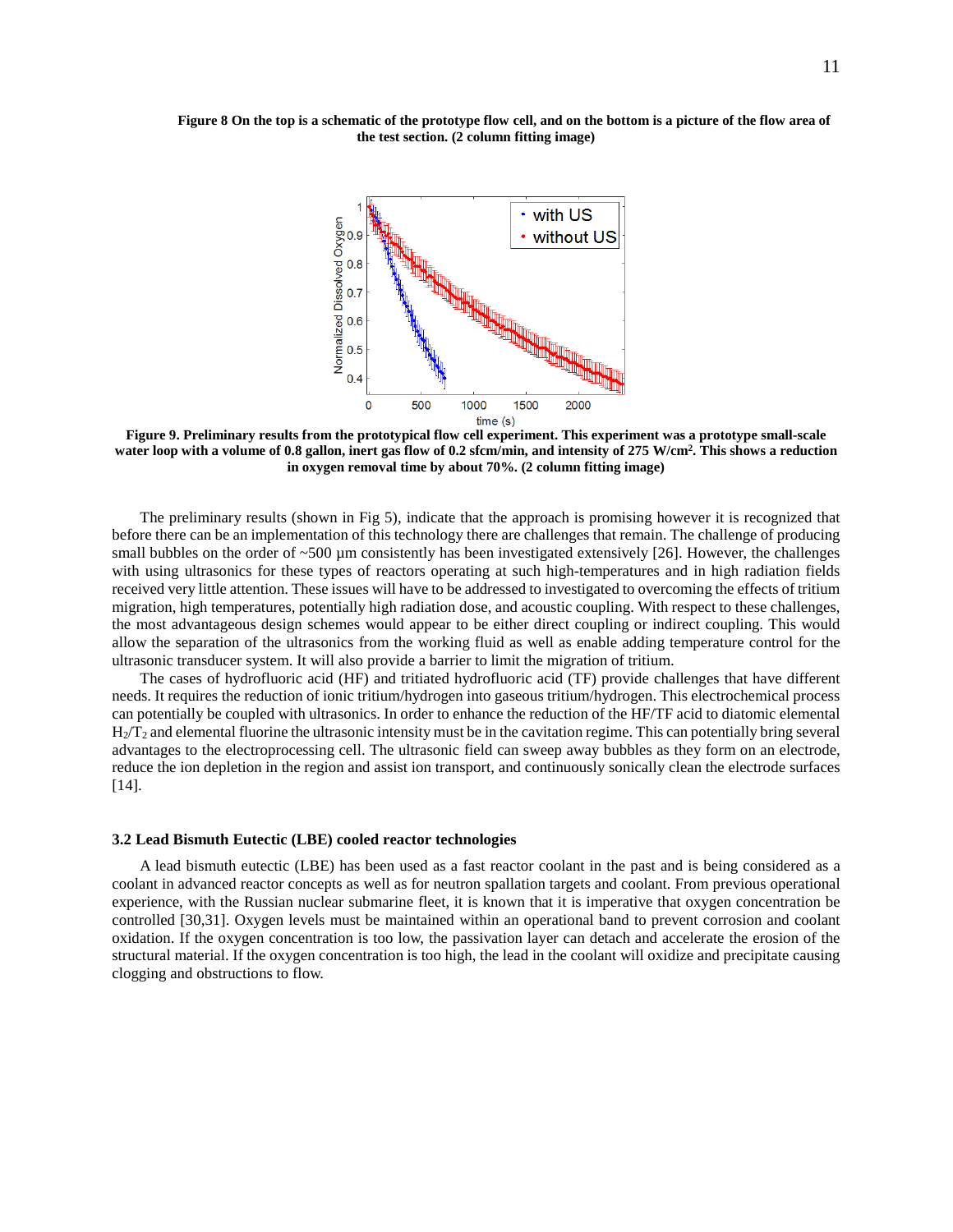**Figure 8 On the top is a schematic of the prototype flow cell, and on the bottom is a picture of the flow area of the test section. (2 column fitting image)**



**Figure 9. Preliminary results from the prototypical flow cell experiment. This experiment was a prototype small-scale water loop with a volume of 0.8 gallon, inert gas flow of 0.2 sfcm/min, and intensity of 275 W/cm2. This shows a reduction in oxygen removal time by about 70%. (2 column fitting image)**

The preliminary results (shown in Fig 5), indicate that the approach is promising however it is recognized that before there can be an implementation of this technology there are challenges that remain. The challenge of producing small bubbles on the order of  $~500 \mu$ m consistently has been investigated extensively [26]. However, the challenges with using ultrasonics for these types of reactors operating at such high-temperatures and in high radiation fields received very little attention. These issues will have to be addressed to investigated to overcoming the effects of tritium migration, high temperatures, potentially high radiation dose, and acoustic coupling. With respect to these challenges, the most advantageous design schemes would appear to be either direct coupling or indirect coupling. This would allow the separation of the ultrasonics from the working fluid as well as enable adding temperature control for the ultrasonic transducer system. It will also provide a barrier to limit the migration of tritium.

The cases of hydrofluoric acid (HF) and tritiated hydrofluoric acid (TF) provide challenges that have different needs. It requires the reduction of ionic tritium/hydrogen into gaseous tritium/hydrogen. This electrochemical process can potentially be coupled with ultrasonics. In order to enhance the reduction of the HF/TF acid to diatomic elemental  $H<sub>2</sub>/T<sub>2</sub>$  and elemental fluorine the ultrasonic intensity must be in the cavitation regime. This can potentially bring several advantages to the electroprocessing cell. The ultrasonic field can sweep away bubbles as they form on an electrode, reduce the ion depletion in the region and assist ion transport, and continuously sonically clean the electrode surfaces [14].

#### **3.2 Lead Bismuth Eutectic (LBE) cooled reactor technologies**

A lead bismuth eutectic (LBE) has been used as a fast reactor coolant in the past and is being considered as a coolant in advanced reactor concepts as well as for neutron spallation targets and coolant. From previous operational experience, with the Russian nuclear submarine fleet, it is known that it is imperative that oxygen concentration be controlled [30,31]. Oxygen levels must be maintained within an operational band to prevent corrosion and coolant oxidation. If the oxygen concentration is too low, the passivation layer can detach and accelerate the erosion of the structural material. If the oxygen concentration is too high, the lead in the coolant will oxidize and precipitate causing clogging and obstructions to flow.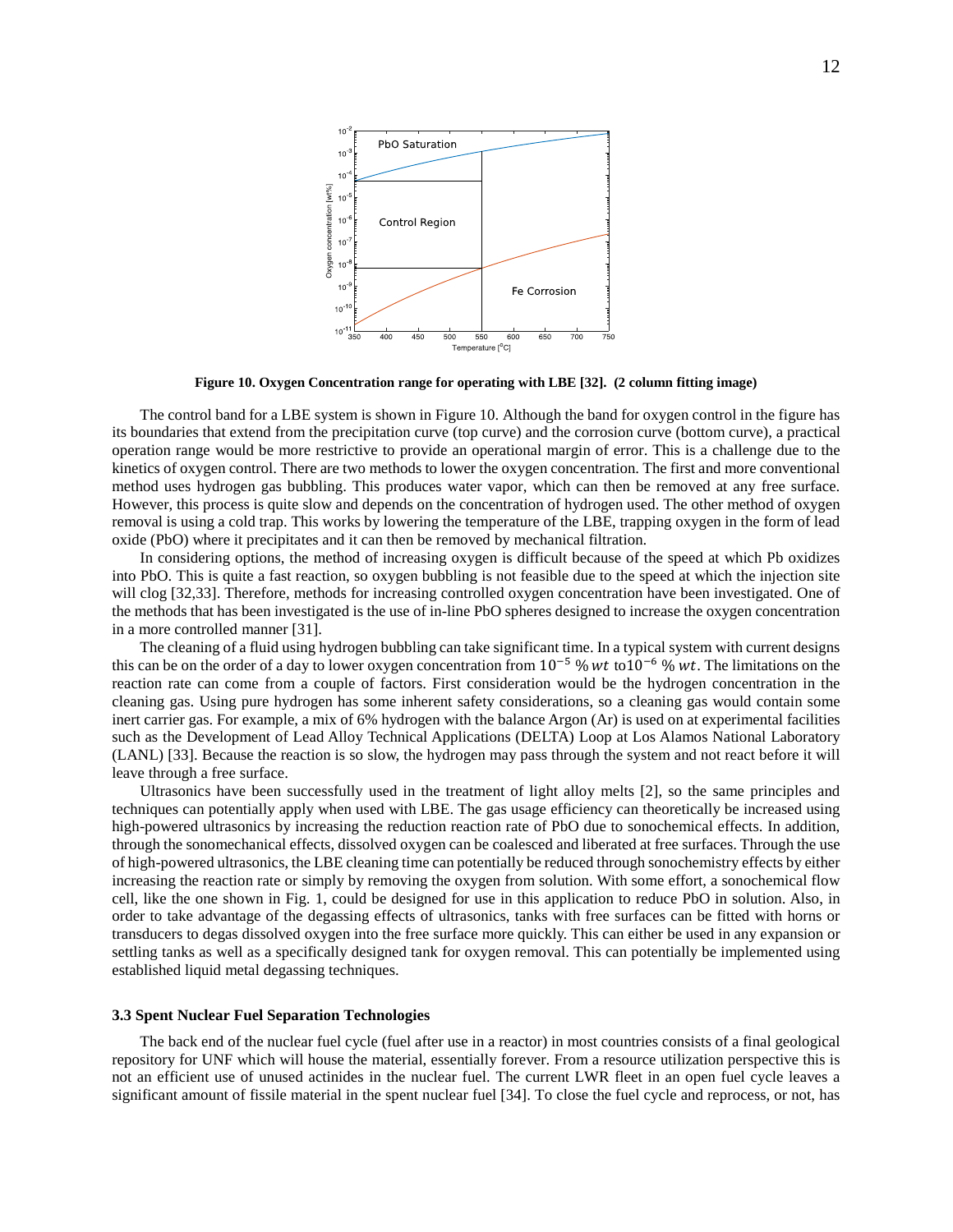

**Figure 10. Oxygen Concentration range for operating with LBE [32]. (2 column fitting image)**

The control band for a LBE system is shown in Figure 10. Although the band for oxygen control in the figure has its boundaries that extend from the precipitation curve (top curve) and the corrosion curve (bottom curve), a practical operation range would be more restrictive to provide an operational margin of error. This is a challenge due to the kinetics of oxygen control. There are two methods to lower the oxygen concentration. The first and more conventional method uses hydrogen gas bubbling. This produces water vapor, which can then be removed at any free surface. However, this process is quite slow and depends on the concentration of hydrogen used. The other method of oxygen removal is using a cold trap. This works by lowering the temperature of the LBE, trapping oxygen in the form of lead oxide (PbO) where it precipitates and it can then be removed by mechanical filtration.

In considering options, the method of increasing oxygen is difficult because of the speed at which Pb oxidizes into PbO. This is quite a fast reaction, so oxygen bubbling is not feasible due to the speed at which the injection site will clog [32,33]. Therefore, methods for increasing controlled oxygen concentration have been investigated. One of the methods that has been investigated is the use of in-line PbO spheres designed to increase the oxygen concentration in a more controlled manner [31].

The cleaning of a fluid using hydrogen bubbling can take significant time. In a typical system with current designs this can be on the order of a day to lower oxygen concentration from  $10^{-5}$  % wt to $10^{-6}$  % wt. The limitations on the reaction rate can come from a couple of factors. First consideration would be the hydrogen concentration in the cleaning gas. Using pure hydrogen has some inherent safety considerations, so a cleaning gas would contain some inert carrier gas. For example, a mix of 6% hydrogen with the balance Argon (Ar) is used on at experimental facilities such as the Development of Lead Alloy Technical Applications (DELTA) Loop at Los Alamos National Laboratory (LANL) [33]. Because the reaction is so slow, the hydrogen may pass through the system and not react before it will leave through a free surface.

Ultrasonics have been successfully used in the treatment of light alloy melts [2], so the same principles and techniques can potentially apply when used with LBE. The gas usage efficiency can theoretically be increased using high-powered ultrasonics by increasing the reduction reaction rate of PbO due to sonochemical effects. In addition, through the sonomechanical effects, dissolved oxygen can be coalesced and liberated at free surfaces. Through the use of high-powered ultrasonics, the LBE cleaning time can potentially be reduced through sonochemistry effects by either increasing the reaction rate or simply by removing the oxygen from solution. With some effort, a sonochemical flow cell, like the one shown in Fig. 1, could be designed for use in this application to reduce PbO in solution. Also, in order to take advantage of the degassing effects of ultrasonics, tanks with free surfaces can be fitted with horns or transducers to degas dissolved oxygen into the free surface more quickly. This can either be used in any expansion or settling tanks as well as a specifically designed tank for oxygen removal. This can potentially be implemented using established liquid metal degassing techniques.

#### **3.3 Spent Nuclear Fuel Separation Technologies**

The back end of the nuclear fuel cycle (fuel after use in a reactor) in most countries consists of a final geological repository for UNF which will house the material, essentially forever. From a resource utilization perspective this is not an efficient use of unused actinides in the nuclear fuel. The current LWR fleet in an open fuel cycle leaves a significant amount of fissile material in the spent nuclear fuel [34]. To close the fuel cycle and reprocess, or not, has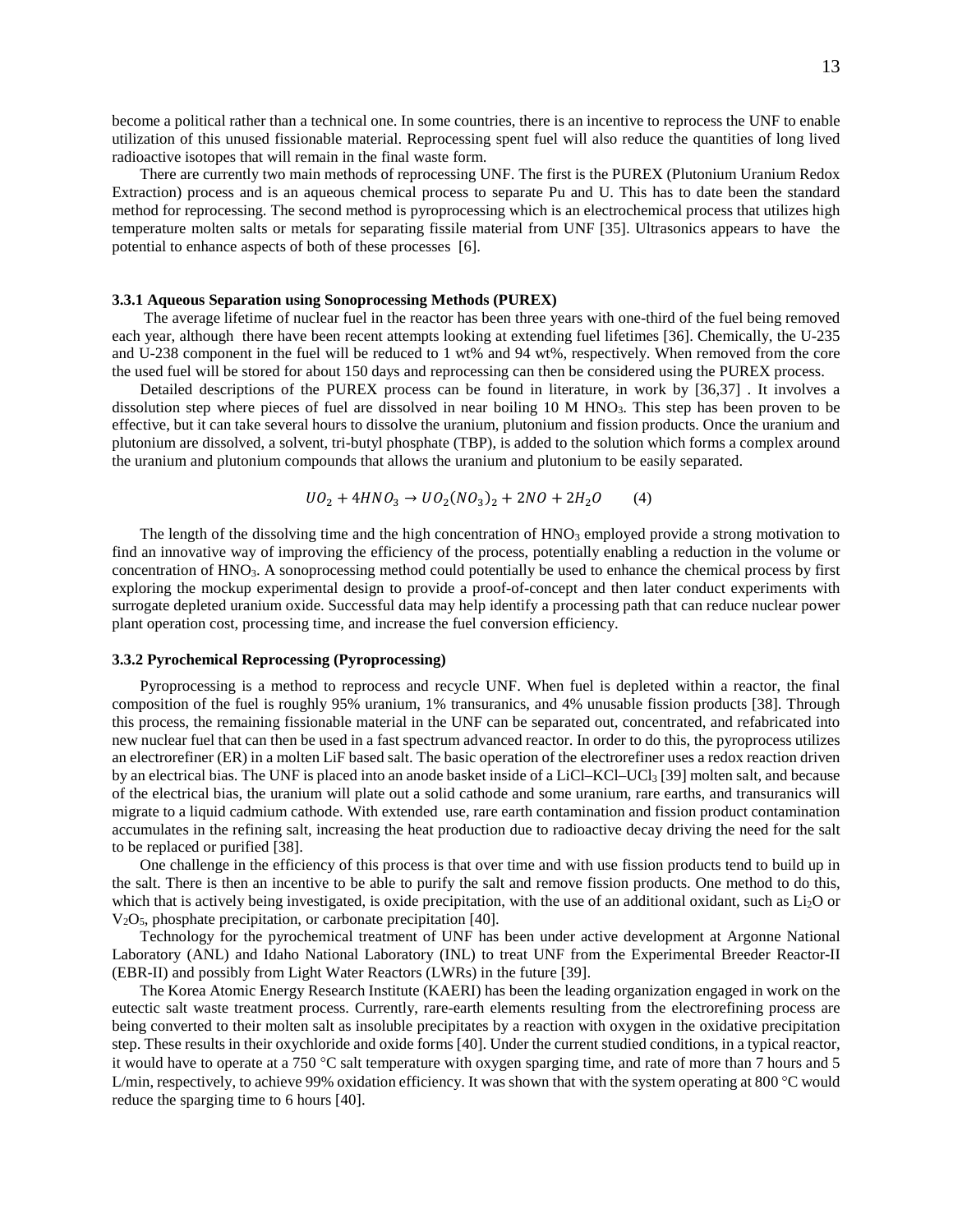13

become a political rather than a technical one. In some countries, there is an incentive to reprocess the UNF to enable utilization of this unused fissionable material. Reprocessing spent fuel will also reduce the quantities of long lived radioactive isotopes that will remain in the final waste form.

There are currently two main methods of reprocessing UNF. The first is the PUREX (Plutonium Uranium Redox Extraction) process and is an aqueous chemical process to separate Pu and U. This has to date been the standard method for reprocessing. The second method is pyroprocessing which is an electrochemical process that utilizes high temperature molten salts or metals for separating fissile material from UNF [35]. Ultrasonics appears to have the potential to enhance aspects of both of these processes [6].

## **3.3.1 Aqueous Separation using Sonoprocessing Methods (PUREX)**

The average lifetime of nuclear fuel in the reactor has been three years with one-third of the fuel being removed each year, although there have been recent attempts looking at extending fuel lifetimes [36]. Chemically, the U-235 and U-238 component in the fuel will be reduced to 1 wt% and 94 wt%, respectively. When removed from the core the used fuel will be stored for about 150 days and reprocessing can then be considered using the PUREX process.

Detailed descriptions of the PUREX process can be found in literature, in work by [36,37] . It involves a dissolution step where pieces of fuel are dissolved in near boiling 10 M HNO<sub>3</sub>. This step has been proven to be effective, but it can take several hours to dissolve the uranium, plutonium and fission products. Once the uranium and plutonium are dissolved, a solvent, tri-butyl phosphate (TBP), is added to the solution which forms a complex around the uranium and plutonium compounds that allows the uranium and plutonium to be easily separated.

$$
UO_2 + 4HNO_3 \to UO_2(NO_3)_2 + 2NO + 2H_2O \tag{4}
$$

The length of the dissolving time and the high concentration of  $HNO<sub>3</sub>$  employed provide a strong motivation to find an innovative way of improving the efficiency of the process, potentially enabling a reduction in the volume or concentration of HNO3. A sonoprocessing method could potentially be used to enhance the chemical process by first exploring the mockup experimental design to provide a proof-of-concept and then later conduct experiments with surrogate depleted uranium oxide. Successful data may help identify a processing path that can reduce nuclear power plant operation cost, processing time, and increase the fuel conversion efficiency.

#### **3.3.2 Pyrochemical Reprocessing (Pyroprocessing)**

Pyroprocessing is a method to reprocess and recycle UNF. When fuel is depleted within a reactor, the final composition of the fuel is roughly 95% uranium, 1% transuranics, and 4% unusable fission products [38]. Through this process, the remaining fissionable material in the UNF can be separated out, concentrated, and refabricated into new nuclear fuel that can then be used in a fast spectrum advanced reactor. In order to do this, the pyroprocess utilizes an electrorefiner (ER) in a molten LiF based salt. The basic operation of the electrorefiner uses a redox reaction driven by an electrical bias. The UNF is placed into an anode basket inside of a LiCl–KCl–UCl<sub>3</sub> [39] molten salt, and because of the electrical bias, the uranium will plate out a solid cathode and some uranium, rare earths, and transuranics will migrate to a liquid cadmium cathode. With extended use, rare earth contamination and fission product contamination accumulates in the refining salt, increasing the heat production due to radioactive decay driving the need for the salt to be replaced or purified [38].

One challenge in the efficiency of this process is that over time and with use fission products tend to build up in the salt. There is then an incentive to be able to purify the salt and remove fission products. One method to do this, which that is actively being investigated, is oxide precipitation, with the use of an additional oxidant, such as Li<sub>2</sub>O or V2O5, phosphate precipitation, or carbonate precipitation [40].

Technology for the pyrochemical treatment of UNF has been under active development at Argonne National Laboratory (ANL) and Idaho National Laboratory (INL) to treat UNF from the Experimental Breeder Reactor-II (EBR-II) and possibly from Light Water Reactors (LWRs) in the future [39].

The Korea Atomic Energy Research Institute (KAERI) has been the leading organization engaged in work on the eutectic salt waste treatment process. Currently, rare-earth elements resulting from the electrorefining process are being converted to their molten salt as insoluble precipitates by a reaction with oxygen in the oxidative precipitation step. These results in their oxychloride and oxide forms [40]. Under the current studied conditions, in a typical reactor, it would have to operate at a 750 °C salt temperature with oxygen sparging time, and rate of more than 7 hours and 5 L/min, respectively, to achieve 99% oxidation efficiency. It was shown that with the system operating at 800  $^{\circ}$ C would reduce the sparging time to 6 hours [40].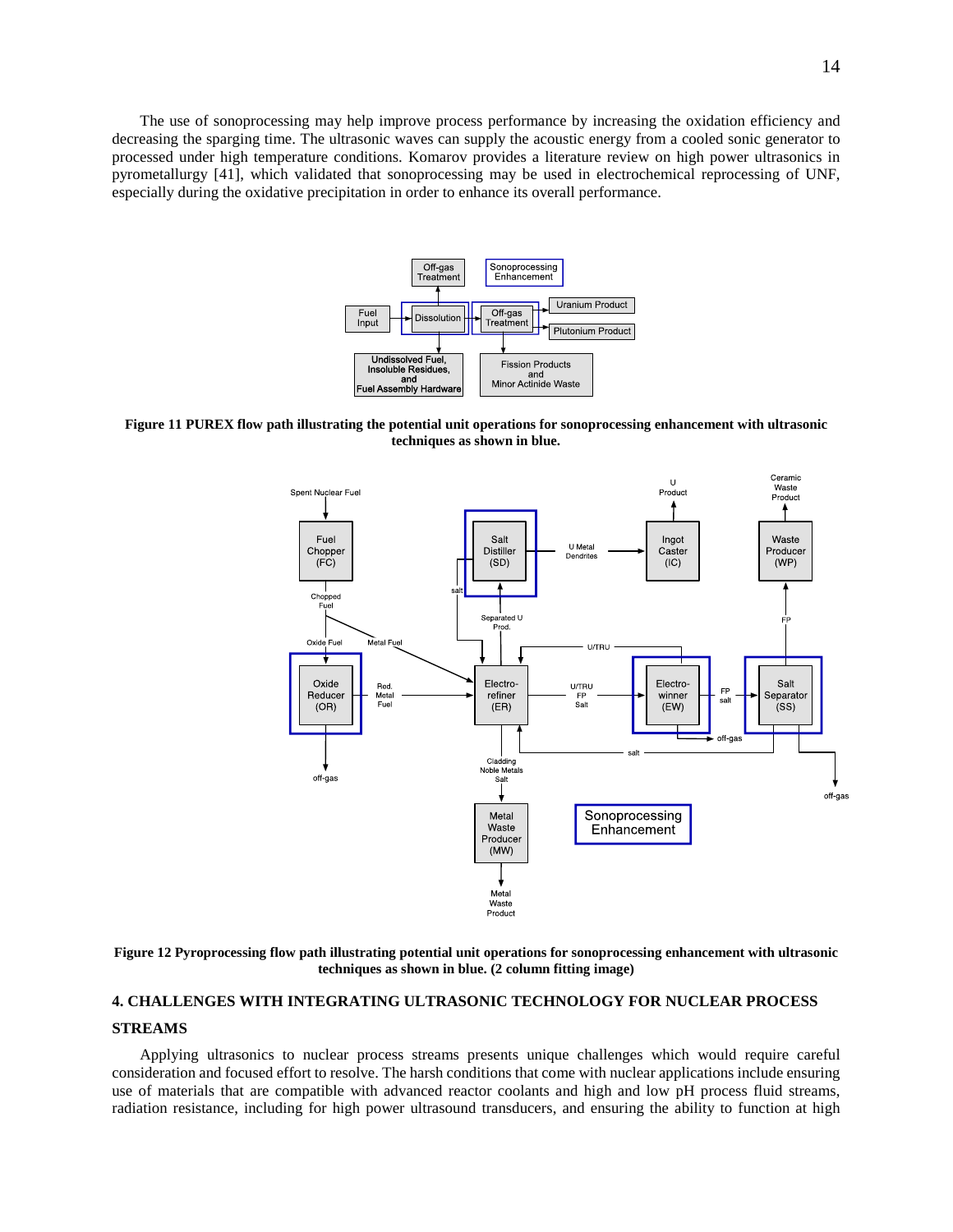The use of sonoprocessing may help improve process performance by increasing the oxidation efficiency and decreasing the sparging time. The ultrasonic waves can supply the acoustic energy from a cooled sonic generator to processed under high temperature conditions. Komarov provides a literature review on high power ultrasonics in pyrometallurgy [41], which validated that sonoprocessing may be used in electrochemical reprocessing of UNF, especially during the oxidative precipitation in order to enhance its overall performance.



**Figure 11 PUREX flow path illustrating the potential unit operations for sonoprocessing enhancement with ultrasonic techniques as shown in blue.**



**Figure 12 Pyroprocessing flow path illustrating potential unit operations for sonoprocessing enhancement with ultrasonic techniques as shown in blue. (2 column fitting image)**

# **4. CHALLENGES WITH INTEGRATING ULTRASONIC TECHNOLOGY FOR NUCLEAR PROCESS**

## **STREAMS**

Applying ultrasonics to nuclear process streams presents unique challenges which would require careful consideration and focused effort to resolve. The harsh conditions that come with nuclear applications include ensuring use of materials that are compatible with advanced reactor coolants and high and low pH process fluid streams, radiation resistance, including for high power ultrasound transducers, and ensuring the ability to function at high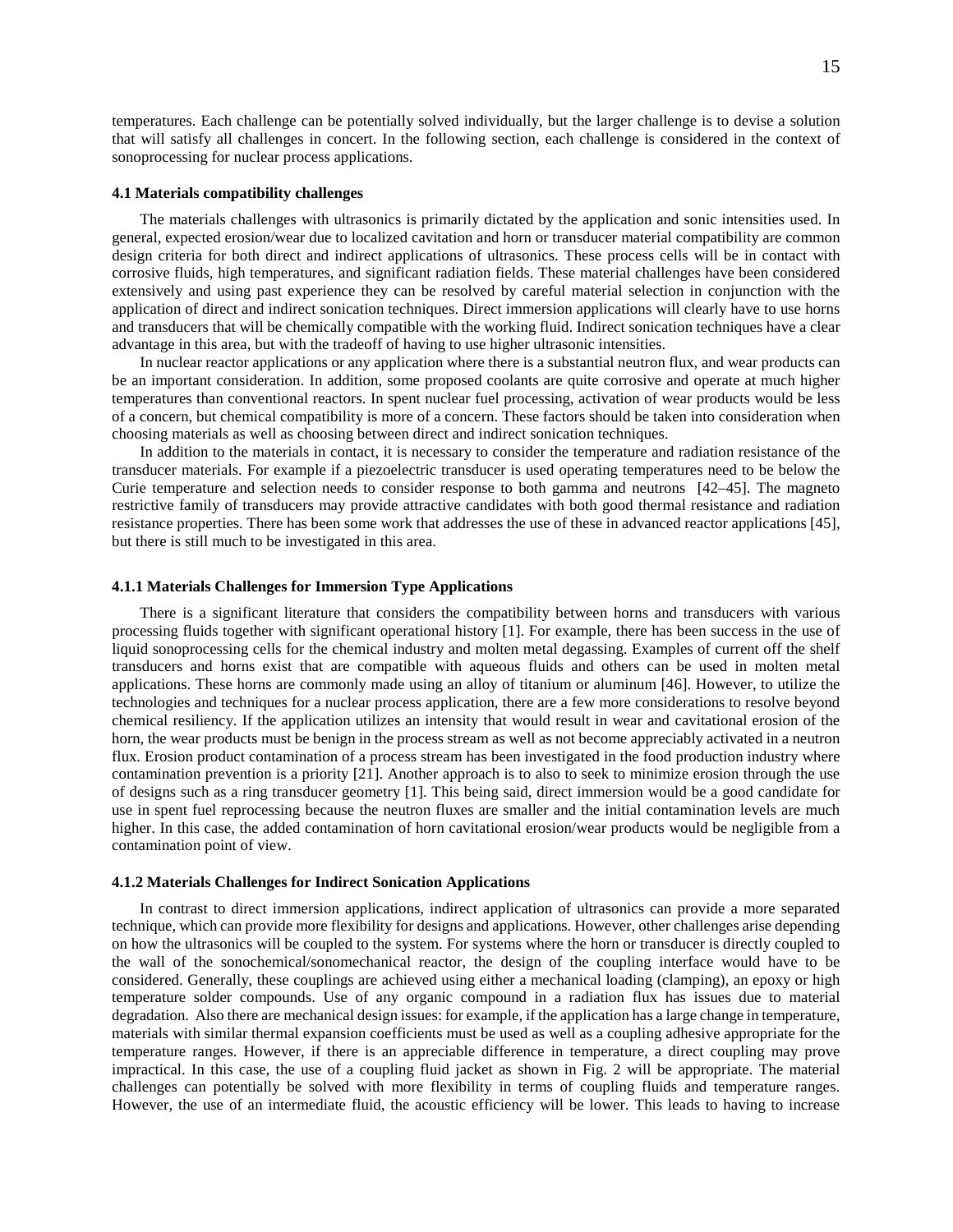temperatures. Each challenge can be potentially solved individually, but the larger challenge is to devise a solution that will satisfy all challenges in concert. In the following section, each challenge is considered in the context of sonoprocessing for nuclear process applications.

#### **4.1 Materials compatibility challenges**

The materials challenges with ultrasonics is primarily dictated by the application and sonic intensities used. In general, expected erosion/wear due to localized cavitation and horn or transducer material compatibility are common design criteria for both direct and indirect applications of ultrasonics. These process cells will be in contact with corrosive fluids, high temperatures, and significant radiation fields. These material challenges have been considered extensively and using past experience they can be resolved by careful material selection in conjunction with the application of direct and indirect sonication techniques. Direct immersion applications will clearly have to use horns and transducers that will be chemically compatible with the working fluid. Indirect sonication techniques have a clear advantage in this area, but with the tradeoff of having to use higher ultrasonic intensities.

In nuclear reactor applications or any application where there is a substantial neutron flux, and wear products can be an important consideration. In addition, some proposed coolants are quite corrosive and operate at much higher temperatures than conventional reactors. In spent nuclear fuel processing, activation of wear products would be less of a concern, but chemical compatibility is more of a concern. These factors should be taken into consideration when choosing materials as well as choosing between direct and indirect sonication techniques.

In addition to the materials in contact, it is necessary to consider the temperature and radiation resistance of the transducer materials. For example if a piezoelectric transducer is used operating temperatures need to be below the Curie temperature and selection needs to consider response to both gamma and neutrons [42–45]. The magneto restrictive family of transducers may provide attractive candidates with both good thermal resistance and radiation resistance properties. There has been some work that addresses the use of these in advanced reactor applications [45], but there is still much to be investigated in this area.

#### **4.1.1 Materials Challenges for Immersion Type Applications**

There is a significant literature that considers the compatibility between horns and transducers with various processing fluids together with significant operational history [1]. For example, there has been success in the use of liquid sonoprocessing cells for the chemical industry and molten metal degassing. Examples of current off the shelf transducers and horns exist that are compatible with aqueous fluids and others can be used in molten metal applications. These horns are commonly made using an alloy of titanium or aluminum [46]. However, to utilize the technologies and techniques for a nuclear process application, there are a few more considerations to resolve beyond chemical resiliency. If the application utilizes an intensity that would result in wear and cavitational erosion of the horn, the wear products must be benign in the process stream as well as not become appreciably activated in a neutron flux. Erosion product contamination of a process stream has been investigated in the food production industry where contamination prevention is a priority [21]. Another approach is to also to seek to minimize erosion through the use of designs such as a ring transducer geometry [1]. This being said, direct immersion would be a good candidate for use in spent fuel reprocessing because the neutron fluxes are smaller and the initial contamination levels are much higher. In this case, the added contamination of horn cavitational erosion/wear products would be negligible from a contamination point of view.

## **4.1.2 Materials Challenges for Indirect Sonication Applications**

In contrast to direct immersion applications, indirect application of ultrasonics can provide a more separated technique, which can provide more flexibility for designs and applications. However, other challenges arise depending on how the ultrasonics will be coupled to the system. For systems where the horn or transducer is directly coupled to the wall of the sonochemical/sonomechanical reactor, the design of the coupling interface would have to be considered. Generally, these couplings are achieved using either a mechanical loading (clamping), an epoxy or high temperature solder compounds. Use of any organic compound in a radiation flux has issues due to material degradation. Also there are mechanical design issues: for example, if the application has a large change in temperature, materials with similar thermal expansion coefficients must be used as well as a coupling adhesive appropriate for the temperature ranges. However, if there is an appreciable difference in temperature, a direct coupling may prove impractical. In this case, the use of a coupling fluid jacket as shown in Fig. 2 will be appropriate. The material challenges can potentially be solved with more flexibility in terms of coupling fluids and temperature ranges. However, the use of an intermediate fluid, the acoustic efficiency will be lower. This leads to having to increase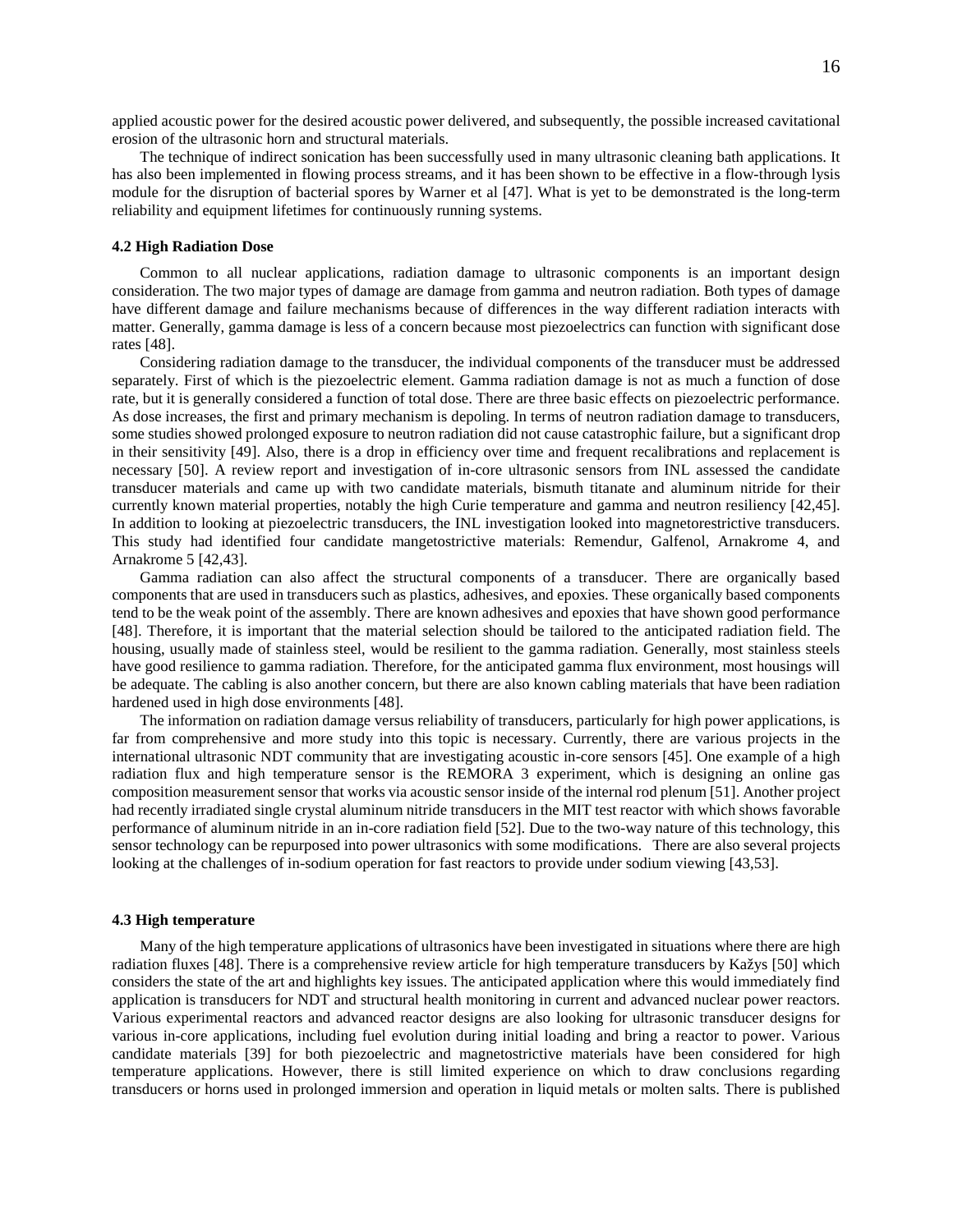applied acoustic power for the desired acoustic power delivered, and subsequently, the possible increased cavitational erosion of the ultrasonic horn and structural materials.

The technique of indirect sonication has been successfully used in many ultrasonic cleaning bath applications. It has also been implemented in flowing process streams, and it has been shown to be effective in a flow-through lysis module for the disruption of bacterial spores by Warner et al [47]. What is yet to be demonstrated is the long-term reliability and equipment lifetimes for continuously running systems.

## **4.2 High Radiation Dose**

Common to all nuclear applications, radiation damage to ultrasonic components is an important design consideration. The two major types of damage are damage from gamma and neutron radiation. Both types of damage have different damage and failure mechanisms because of differences in the way different radiation interacts with matter. Generally, gamma damage is less of a concern because most piezoelectrics can function with significant dose rates [48].

Considering radiation damage to the transducer, the individual components of the transducer must be addressed separately. First of which is the piezoelectric element. Gamma radiation damage is not as much a function of dose rate, but it is generally considered a function of total dose. There are three basic effects on piezoelectric performance. As dose increases, the first and primary mechanism is depoling. In terms of neutron radiation damage to transducers, some studies showed prolonged exposure to neutron radiation did not cause catastrophic failure, but a significant drop in their sensitivity [49]. Also, there is a drop in efficiency over time and frequent recalibrations and replacement is necessary [50]. A review report and investigation of in-core ultrasonic sensors from INL assessed the candidate transducer materials and came up with two candidate materials, bismuth titanate and aluminum nitride for their currently known material properties, notably the high Curie temperature and gamma and neutron resiliency [42,45]. In addition to looking at piezoelectric transducers, the INL investigation looked into magnetorestrictive transducers. This study had identified four candidate mangetostrictive materials: Remendur, Galfenol, Arnakrome 4, and Arnakrome 5 [42,43].

Gamma radiation can also affect the structural components of a transducer. There are organically based components that are used in transducers such as plastics, adhesives, and epoxies. These organically based components tend to be the weak point of the assembly. There are known adhesives and epoxies that have shown good performance [48]. Therefore, it is important that the material selection should be tailored to the anticipated radiation field. The housing, usually made of stainless steel, would be resilient to the gamma radiation. Generally, most stainless steels have good resilience to gamma radiation. Therefore, for the anticipated gamma flux environment, most housings will be adequate. The cabling is also another concern, but there are also known cabling materials that have been radiation hardened used in high dose environments [48].

The information on radiation damage versus reliability of transducers, particularly for high power applications, is far from comprehensive and more study into this topic is necessary. Currently, there are various projects in the international ultrasonic NDT community that are investigating acoustic in-core sensors [45]. One example of a high radiation flux and high temperature sensor is the REMORA 3 experiment, which is designing an online gas composition measurement sensor that works via acoustic sensor inside of the internal rod plenum [51]. Another project had recently irradiated single crystal aluminum nitride transducers in the MIT test reactor with which shows favorable performance of aluminum nitride in an in-core radiation field [52]. Due to the two-way nature of this technology, this sensor technology can be repurposed into power ultrasonics with some modifications. There are also several projects looking at the challenges of in-sodium operation for fast reactors to provide under sodium viewing [43,53].

#### **4.3 High temperature**

Many of the high temperature applications of ultrasonics have been investigated in situations where there are high radiation fluxes [48]. There is a comprehensive review article for high temperature transducers by Kažys [50] which considers the state of the art and highlights key issues. The anticipated application where this would immediately find application is transducers for NDT and structural health monitoring in current and advanced nuclear power reactors. Various experimental reactors and advanced reactor designs are also looking for ultrasonic transducer designs for various in-core applications, including fuel evolution during initial loading and bring a reactor to power. Various candidate materials [39] for both piezoelectric and magnetostrictive materials have been considered for high temperature applications. However, there is still limited experience on which to draw conclusions regarding transducers or horns used in prolonged immersion and operation in liquid metals or molten salts. There is published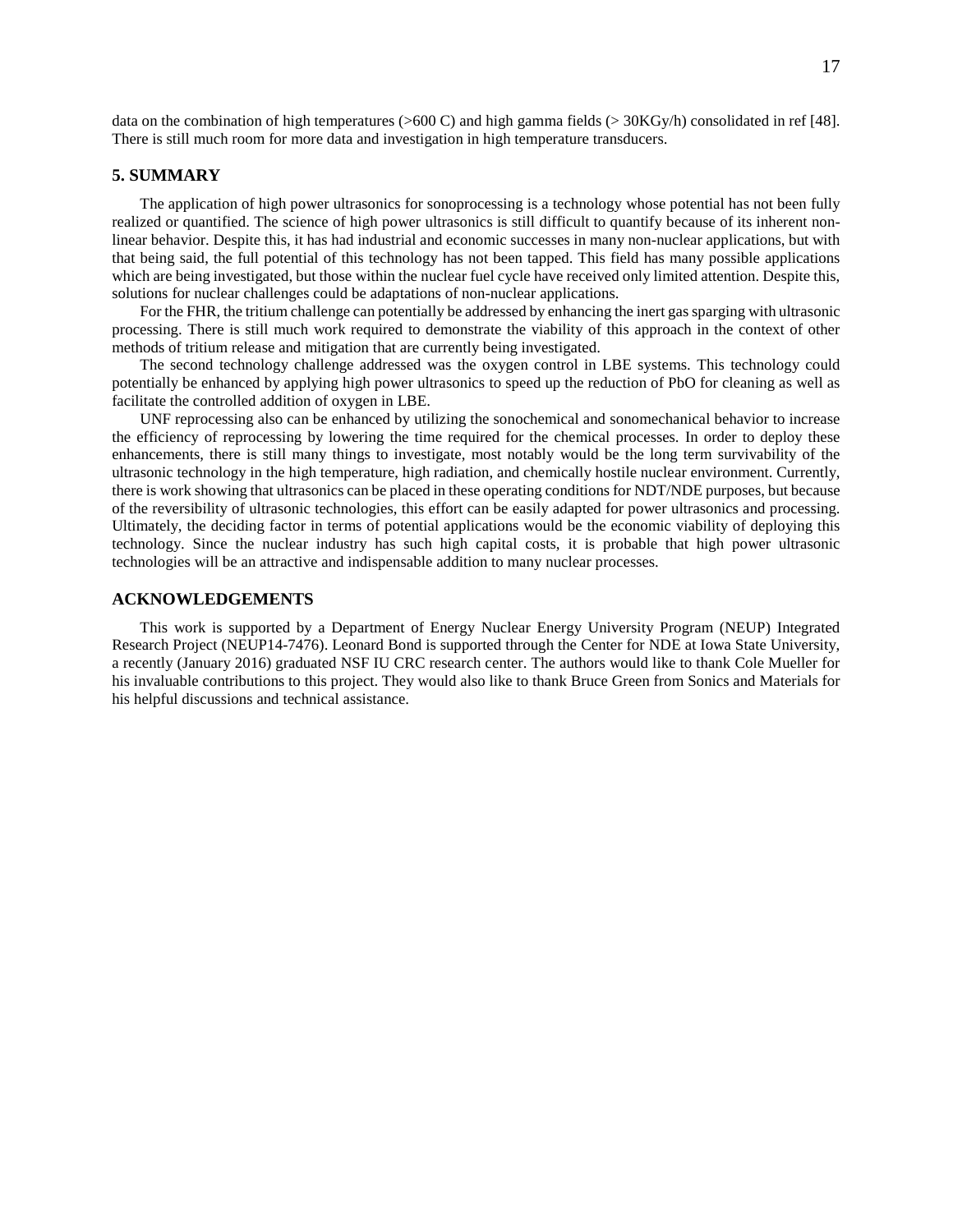data on the combination of high temperatures ( $>600 \text{ C}$ ) and high gamma fields ( $> 30 \text{KGy/h}$ ) consolidated in ref [48]. There is still much room for more data and investigation in high temperature transducers.

#### **5. SUMMARY**

The application of high power ultrasonics for sonoprocessing is a technology whose potential has not been fully realized or quantified. The science of high power ultrasonics is still difficult to quantify because of its inherent nonlinear behavior. Despite this, it has had industrial and economic successes in many non-nuclear applications, but with that being said, the full potential of this technology has not been tapped. This field has many possible applications which are being investigated, but those within the nuclear fuel cycle have received only limited attention. Despite this, solutions for nuclear challenges could be adaptations of non-nuclear applications.

For the FHR, the tritium challenge can potentially be addressed by enhancing the inert gas sparging with ultrasonic processing. There is still much work required to demonstrate the viability of this approach in the context of other methods of tritium release and mitigation that are currently being investigated.

The second technology challenge addressed was the oxygen control in LBE systems. This technology could potentially be enhanced by applying high power ultrasonics to speed up the reduction of PbO for cleaning as well as facilitate the controlled addition of oxygen in LBE.

UNF reprocessing also can be enhanced by utilizing the sonochemical and sonomechanical behavior to increase the efficiency of reprocessing by lowering the time required for the chemical processes. In order to deploy these enhancements, there is still many things to investigate, most notably would be the long term survivability of the ultrasonic technology in the high temperature, high radiation, and chemically hostile nuclear environment. Currently, there is work showing that ultrasonics can be placed in these operating conditions for NDT/NDE purposes, but because of the reversibility of ultrasonic technologies, this effort can be easily adapted for power ultrasonics and processing. Ultimately, the deciding factor in terms of potential applications would be the economic viability of deploying this technology. Since the nuclear industry has such high capital costs, it is probable that high power ultrasonic technologies will be an attractive and indispensable addition to many nuclear processes.

## **ACKNOWLEDGEMENTS**

This work is supported by a Department of Energy Nuclear Energy University Program (NEUP) Integrated Research Project (NEUP14-7476). Leonard Bond is supported through the Center for NDE at Iowa State University, a recently (January 2016) graduated NSF IU CRC research center. The authors would like to thank Cole Mueller for his invaluable contributions to this project. They would also like to thank Bruce Green from Sonics and Materials for his helpful discussions and technical assistance.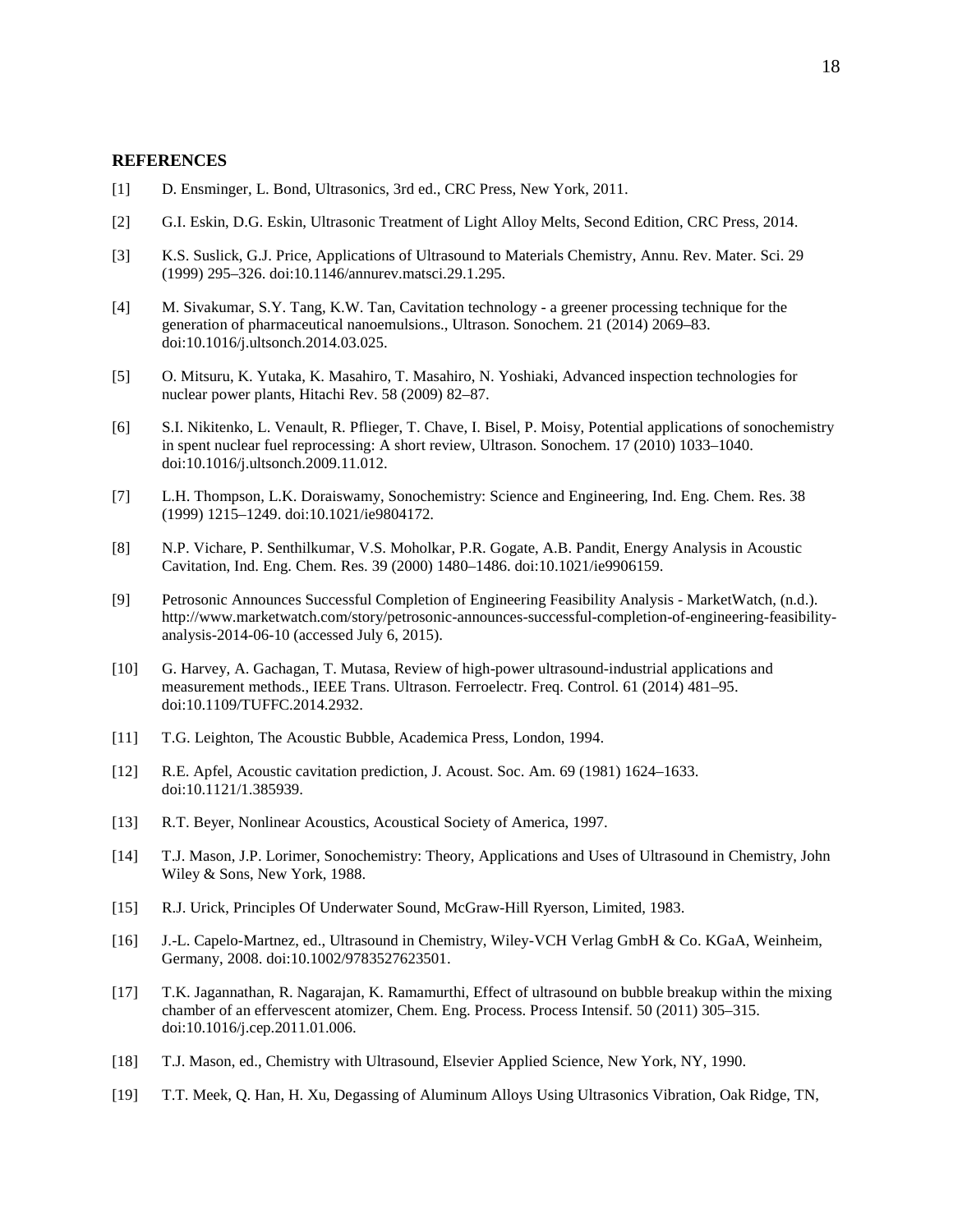#### **REFERENCES**

- [1] D. Ensminger, L. Bond, Ultrasonics, 3rd ed., CRC Press, New York, 2011.
- [2] G.I. Eskin, D.G. Eskin, Ultrasonic Treatment of Light Alloy Melts, Second Edition, CRC Press, 2014.
- [3] K.S. Suslick, G.J. Price, Applications of Ultrasound to Materials Chemistry, Annu. Rev. Mater. Sci. 29 (1999) 295–326. doi:10.1146/annurev.matsci.29.1.295.
- [4] M. Sivakumar, S.Y. Tang, K.W. Tan, Cavitation technology a greener processing technique for the generation of pharmaceutical nanoemulsions., Ultrason. Sonochem. 21 (2014) 2069–83. doi:10.1016/j.ultsonch.2014.03.025.
- [5] O. Mitsuru, K. Yutaka, K. Masahiro, T. Masahiro, N. Yoshiaki, Advanced inspection technologies for nuclear power plants, Hitachi Rev. 58 (2009) 82–87.
- [6] S.I. Nikitenko, L. Venault, R. Pflieger, T. Chave, I. Bisel, P. Moisy, Potential applications of sonochemistry in spent nuclear fuel reprocessing: A short review, Ultrason. Sonochem. 17 (2010) 1033–1040. doi:10.1016/j.ultsonch.2009.11.012.
- [7] L.H. Thompson, L.K. Doraiswamy, Sonochemistry: Science and Engineering, Ind. Eng. Chem. Res. 38 (1999) 1215–1249. doi:10.1021/ie9804172.
- [8] N.P. Vichare, P. Senthilkumar, V.S. Moholkar, P.R. Gogate, A.B. Pandit, Energy Analysis in Acoustic Cavitation, Ind. Eng. Chem. Res. 39 (2000) 1480–1486. doi:10.1021/ie9906159.
- [9] Petrosonic Announces Successful Completion of Engineering Feasibility Analysis MarketWatch, (n.d.). http://www.marketwatch.com/story/petrosonic-announces-successful-completion-of-engineering-feasibilityanalysis-2014-06-10 (accessed July 6, 2015).
- [10] G. Harvey, A. Gachagan, T. Mutasa, Review of high-power ultrasound-industrial applications and measurement methods., IEEE Trans. Ultrason. Ferroelectr. Freq. Control. 61 (2014) 481–95. doi:10.1109/TUFFC.2014.2932.
- [11] T.G. Leighton, The Acoustic Bubble, Academica Press, London, 1994.
- [12] R.E. Apfel, Acoustic cavitation prediction, J. Acoust. Soc. Am. 69 (1981) 1624–1633. doi:10.1121/1.385939.
- [13] R.T. Beyer, Nonlinear Acoustics, Acoustical Society of America, 1997.
- [14] T.J. Mason, J.P. Lorimer, Sonochemistry: Theory, Applications and Uses of Ultrasound in Chemistry, John Wiley & Sons, New York, 1988.
- [15] R.J. Urick, Principles Of Underwater Sound, McGraw-Hill Ryerson, Limited, 1983.
- [16] J.-L. Capelo-Martnez, ed., Ultrasound in Chemistry, Wiley-VCH Verlag GmbH & Co. KGaA, Weinheim, Germany, 2008. doi:10.1002/9783527623501.
- [17] T.K. Jagannathan, R. Nagarajan, K. Ramamurthi, Effect of ultrasound on bubble breakup within the mixing chamber of an effervescent atomizer, Chem. Eng. Process. Process Intensif. 50 (2011) 305–315. doi:10.1016/j.cep.2011.01.006.
- [18] T.J. Mason, ed., Chemistry with Ultrasound, Elsevier Applied Science, New York, NY, 1990.
- [19] T.T. Meek, Q. Han, H. Xu, Degassing of Aluminum Alloys Using Ultrasonics Vibration, Oak Ridge, TN,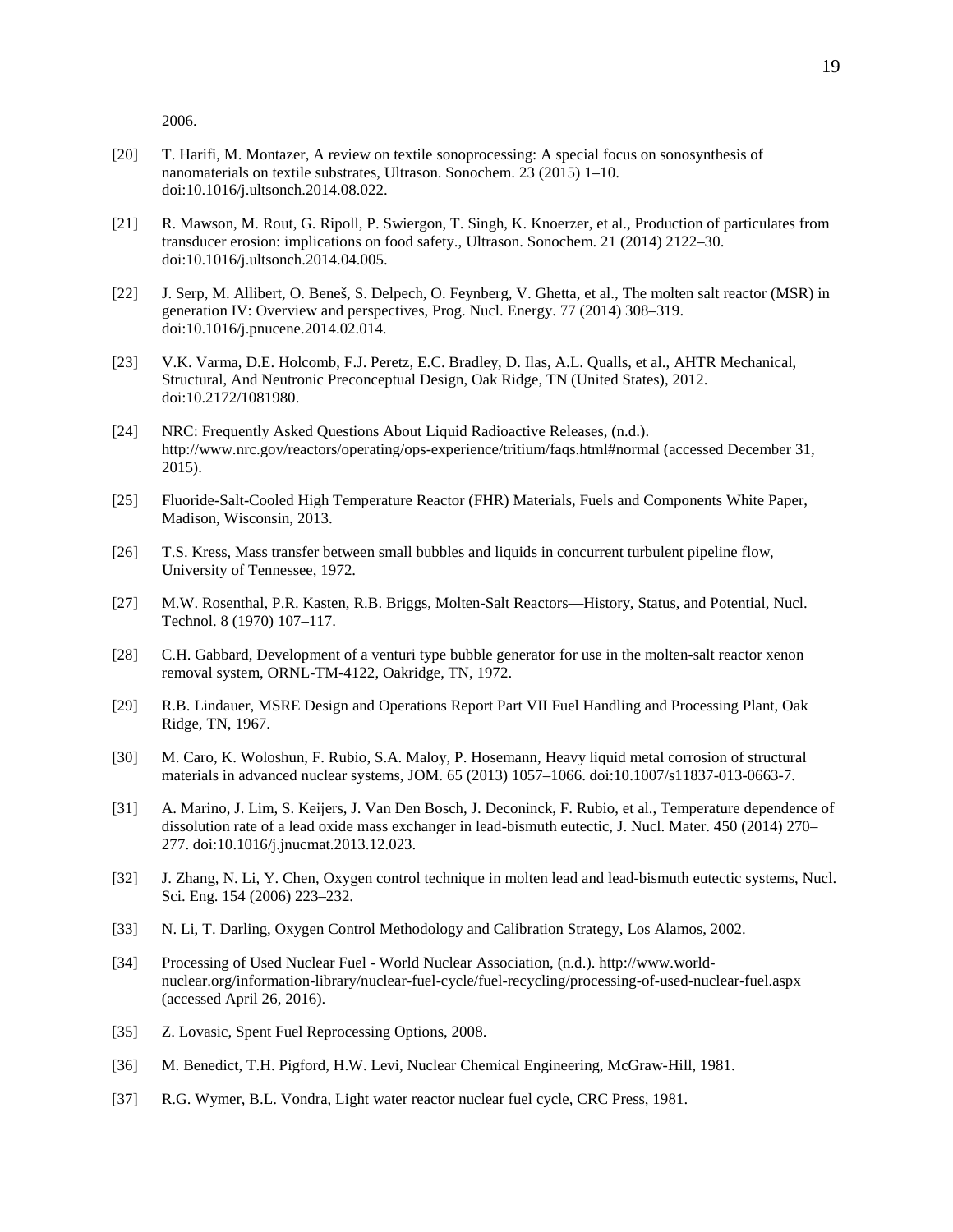2006.

- [20] T. Harifi, M. Montazer, A review on textile sonoprocessing: A special focus on sonosynthesis of nanomaterials on textile substrates, Ultrason. Sonochem. 23 (2015) 1–10. doi:10.1016/j.ultsonch.2014.08.022.
- [21] R. Mawson, M. Rout, G. Ripoll, P. Swiergon, T. Singh, K. Knoerzer, et al., Production of particulates from transducer erosion: implications on food safety., Ultrason. Sonochem. 21 (2014) 2122–30. doi:10.1016/j.ultsonch.2014.04.005.
- [22] J. Serp, M. Allibert, O. Beneš, S. Delpech, O. Feynberg, V. Ghetta, et al., The molten salt reactor (MSR) in generation IV: Overview and perspectives, Prog. Nucl. Energy. 77 (2014) 308–319. doi:10.1016/j.pnucene.2014.02.014.
- [23] V.K. Varma, D.E. Holcomb, F.J. Peretz, E.C. Bradley, D. Ilas, A.L. Qualls, et al., AHTR Mechanical, Structural, And Neutronic Preconceptual Design, Oak Ridge, TN (United States), 2012. doi:10.2172/1081980.
- [24] NRC: Frequently Asked Questions About Liquid Radioactive Releases, (n.d.). http://www.nrc.gov/reactors/operating/ops-experience/tritium/faqs.html#normal (accessed December 31, 2015).
- [25] Fluoride-Salt-Cooled High Temperature Reactor (FHR) Materials, Fuels and Components White Paper, Madison, Wisconsin, 2013.
- [26] T.S. Kress, Mass transfer between small bubbles and liquids in concurrent turbulent pipeline flow, University of Tennessee, 1972.
- [27] M.W. Rosenthal, P.R. Kasten, R.B. Briggs, Molten-Salt Reactors—History, Status, and Potential, Nucl. Technol. 8 (1970) 107–117.
- [28] C.H. Gabbard, Development of a venturi type bubble generator for use in the molten-salt reactor xenon removal system, ORNL-TM-4122, Oakridge, TN, 1972.
- [29] R.B. Lindauer, MSRE Design and Operations Report Part VII Fuel Handling and Processing Plant, Oak Ridge, TN, 1967.
- [30] M. Caro, K. Woloshun, F. Rubio, S.A. Maloy, P. Hosemann, Heavy liquid metal corrosion of structural materials in advanced nuclear systems, JOM. 65 (2013) 1057–1066. doi:10.1007/s11837-013-0663-7.
- [31] A. Marino, J. Lim, S. Keijers, J. Van Den Bosch, J. Deconinck, F. Rubio, et al., Temperature dependence of dissolution rate of a lead oxide mass exchanger in lead-bismuth eutectic, J. Nucl. Mater. 450 (2014) 270– 277. doi:10.1016/j.jnucmat.2013.12.023.
- [32] J. Zhang, N. Li, Y. Chen, Oxygen control technique in molten lead and lead-bismuth eutectic systems, Nucl. Sci. Eng. 154 (2006) 223–232.
- [33] N. Li, T. Darling, Oxygen Control Methodology and Calibration Strategy, Los Alamos, 2002.
- [34] Processing of Used Nuclear Fuel World Nuclear Association, (n.d.). http://www.worldnuclear.org/information-library/nuclear-fuel-cycle/fuel-recycling/processing-of-used-nuclear-fuel.aspx (accessed April 26, 2016).
- [35] Z. Lovasic, Spent Fuel Reprocessing Options, 2008.
- [36] M. Benedict, T.H. Pigford, H.W. Levi, Nuclear Chemical Engineering, McGraw-Hill, 1981.
- [37] R.G. Wymer, B.L. Vondra, Light water reactor nuclear fuel cycle, CRC Press, 1981.